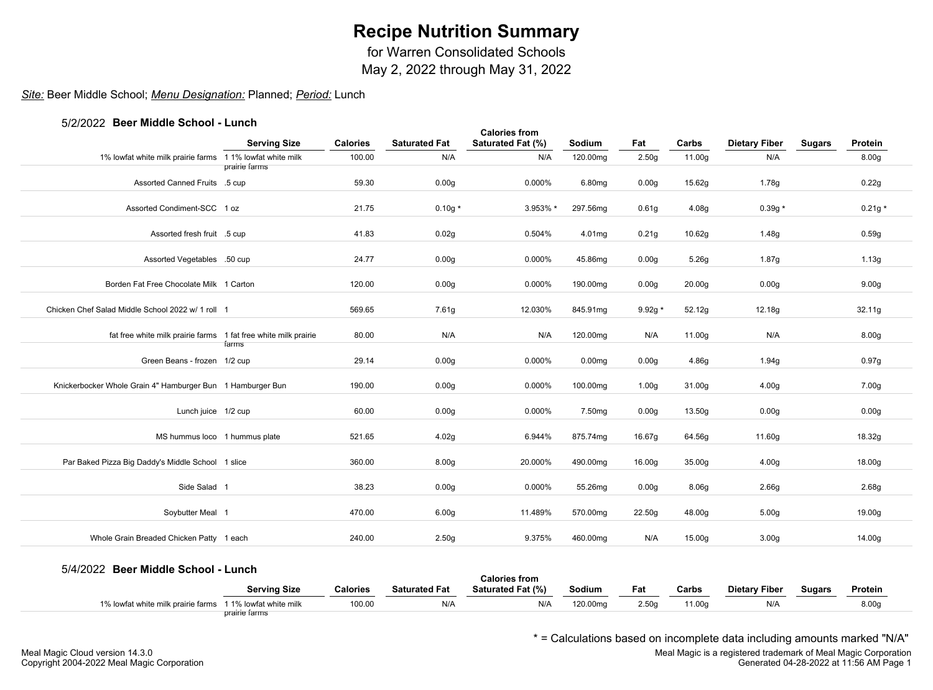for Warren Consolidated Schools

May 2, 2022 through May 31, 2022

## *Site:* Beer Middle School; *Menu Designation:* Planned; *Period:* Lunch

#### 5/2/2022 **Beer Middle School - Lunch**

|                                                                 | <b>Serving Size</b> | <b>Calories</b> | <b>Saturated Fat</b> | <b>Calories from</b><br>Saturated Fat (%) | Sodium             | Fat               | Carbs              | <b>Dietary Fiber</b> | <b>Sugars</b> | Protein           |
|-----------------------------------------------------------------|---------------------|-----------------|----------------------|-------------------------------------------|--------------------|-------------------|--------------------|----------------------|---------------|-------------------|
| 1% lowfat white milk prairie farms 11% lowfat white milk        |                     | 100.00          | N/A                  | N/A                                       | 120.00mg           | 2.50 <sub>g</sub> | 11.00g             | N/A                  |               | 8.00 <sub>g</sub> |
|                                                                 | prairie farms       |                 |                      |                                           |                    |                   |                    |                      |               |                   |
| Assorted Canned Fruits .5 cup                                   |                     | 59.30           | 0.00 <sub>g</sub>    | 0.000%                                    | 6.80mg             | 0.00 <sub>g</sub> | 15.62g             | 1.78g                |               | 0.22g             |
| Assorted Condiment-SCC 1 oz                                     |                     | 21.75           | $0.10g*$             | 3.953% *                                  | 297.56mg           | 0.61 <sub>g</sub> | 4.08g              | $0.39g *$            |               | $0.21g*$          |
| Assorted fresh fruit .5 cup                                     |                     | 41.83           | 0.02g                | 0.504%                                    | 4.01mg             | 0.21g             | 10.62g             | 1.48g                |               | 0.59g             |
| Assorted Vegetables .50 cup                                     |                     | 24.77           | 0.00 <sub>g</sub>    | 0.000%                                    | 45.86mg            | 0.00 <sub>g</sub> | 5.26g              | 1.87g                |               | 1.13g             |
| Borden Fat Free Chocolate Milk 1 Carton                         |                     | 120.00          | 0.00 <sub>g</sub>    | 0.000%                                    | 190.00mg           | 0.00 <sub>g</sub> | 20.00 <sub>g</sub> | 0.00 <sub>g</sub>    |               | 9.00 <sub>g</sub> |
| Chicken Chef Salad Middle School 2022 w/ 1 roll 1               |                     | 569.65          | 7.61g                | 12.030%                                   | 845.91mg           | $9.92g *$         | 52.12g             | 12.18g               |               | 32.11g            |
| fat free white milk prairie farms 1 fat free white milk prairie |                     | 80.00           | N/A                  | N/A                                       | 120.00mg           | N/A               | 11.00g             | N/A                  |               | 8.00 <sub>g</sub> |
| Green Beans - frozen 1/2 cup                                    | farms               | 29.14           | 0.00 <sub>g</sub>    | 0.000%                                    | 0.00 <sub>mg</sub> | 0.00 <sub>g</sub> | 4.86g              | 1.94g                |               | 0.97g             |
| Knickerbocker Whole Grain 4" Hamburger Bun 1 Hamburger Bun      |                     | 190.00          | 0.00 <sub>g</sub>    | 0.000%                                    | 100.00mg           | 1.00 <sub>g</sub> | 31.00g             | 4.00 <sub>g</sub>    |               | 7.00g             |
| Lunch juice 1/2 cup                                             |                     | 60.00           | 0.00 <sub>g</sub>    | 0.000%                                    | 7.50mg             | 0.00 <sub>g</sub> | 13.50g             | 0.00 <sub>g</sub>    |               | 0.00g             |
| MS hummus loco 1 hummus plate                                   |                     | 521.65          | 4.02g                | 6.944%                                    | 875.74mg           | 16.67g            | 64.56g             | 11.60g               |               | 18.32g            |
| Par Baked Pizza Big Daddy's Middle School 1 slice               |                     | 360.00          | 8.00 <sub>g</sub>    | 20.000%                                   | 490.00mg           | 16.00g            | 35.00g             | 4.00g                |               | 18.00g            |
| Side Salad 1                                                    |                     | 38.23           | 0.00 <sub>g</sub>    | 0.000%                                    | 55.26mg            | 0.00 <sub>g</sub> | 8.06 <sub>g</sub>  | 2.66g                |               | 2.68g             |
| Soybutter Meal 1                                                |                     | 470.00          | 6.00 <sub>g</sub>    | 11.489%                                   | 570.00mg           | 22.50q            | 48.00g             | 5.00 <sub>g</sub>    |               | 19.00g            |
| Whole Grain Breaded Chicken Patty 1 each                        |                     | 240.00          | 2.50 <sub>g</sub>    | 9.375%                                    | 460.00mg           | N/A               | 15.00g             | 3.00 <sub>g</sub>    |               | 14.00g            |

#### 5/4/2022 **Beer Middle School - Lunch**

|                                                          |               |          |                      | Calories from     |          |       |                    |                      |        |         |  |
|----------------------------------------------------------|---------------|----------|----------------------|-------------------|----------|-------|--------------------|----------------------|--------|---------|--|
|                                                          | Serving Size  | Calories | <b>Saturated Fat</b> | Saturated Fat (%) | Sodium   | Fat   | Carbs              | <b>Dietary Fiber</b> | Sugars | Protein |  |
| 1% lowfat white milk prairie farms 11% lowfat white milk |               | 100.00   | N/A                  | N/A               | 120.00mg | 2.50q | <sup>1</sup> 1.00g | N/A                  |        | 8.00c   |  |
|                                                          | prairie farms |          |                      |                   |          |       |                    |                      |        |         |  |

\* = Calculations based on incomplete data including amounts marked "N/A"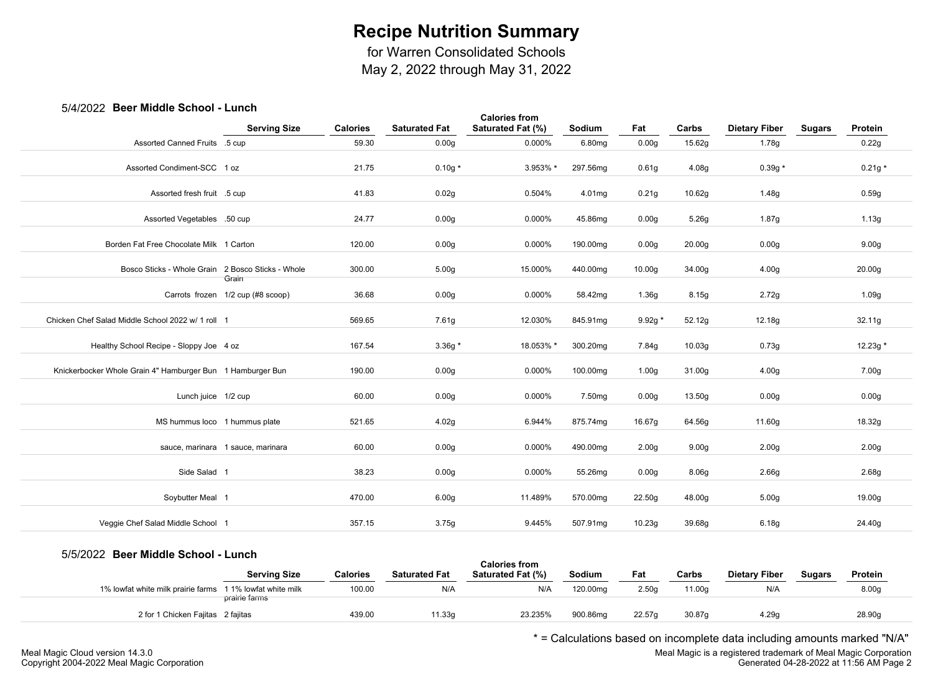for Warren Consolidated Schools

May 2, 2022 through May 31, 2022

## 5/4/2022 **Beer Middle School - Lunch**

|                                                            |                                   |                 |                      | <b>Calories from</b> |          |                    |                    |                      |               |                    |  |
|------------------------------------------------------------|-----------------------------------|-----------------|----------------------|----------------------|----------|--------------------|--------------------|----------------------|---------------|--------------------|--|
|                                                            | <b>Serving Size</b>               | <b>Calories</b> | <b>Saturated Fat</b> | Saturated Fat (%)    | Sodium   | Fat                | Carbs              | <b>Dietary Fiber</b> | <b>Sugars</b> | Protein            |  |
| Assorted Canned Fruits .5 cup                              |                                   | 59.30           | 0.00 <sub>g</sub>    | 0.000%               | 6.80mg   | 0.00 <sub>g</sub>  | 15.62g             | 1.78g                |               | 0.22g              |  |
|                                                            |                                   |                 |                      |                      |          |                    |                    |                      |               |                    |  |
| Assorted Condiment-SCC 1 oz                                |                                   | 21.75           | $0.10g *$            | 3.953% *             | 297.56mg | 0.61 <sub>g</sub>  | 4.08g              | $0.39g *$            |               | $0.21g *$          |  |
|                                                            |                                   | 41.83           |                      | 0.504%               |          |                    |                    |                      |               |                    |  |
| Assorted fresh fruit .5 cup                                |                                   |                 | 0.02g                |                      | 4.01mg   | 0.21g              | 10.62g             | 1.48g                |               | 0.59g              |  |
| Assorted Vegetables .50 cup                                |                                   | 24.77           | 0.00 <sub>g</sub>    | 0.000%               | 45.86mg  | 0.00 <sub>g</sub>  | 5.26g              | 1.87g                |               | 1.13g              |  |
| Borden Fat Free Chocolate Milk 1 Carton                    |                                   | 120.00          | 0.00 <sub>g</sub>    | 0.000%               | 190.00mg | 0.00 <sub>g</sub>  | 20.00 <sub>g</sub> | 0.00 <sub>g</sub>    |               | 9.00 <sub>g</sub>  |  |
|                                                            |                                   |                 |                      |                      |          |                    |                    |                      |               |                    |  |
| Bosco Sticks - Whole Grain 2 Bosco Sticks - Whole          | Grain                             | 300.00          | 5.00 <sub>g</sub>    | 15.000%              | 440.00mg | 10.00 <sub>g</sub> | 34.00g             | 4.00 <sub>g</sub>    |               | 20.00 <sub>g</sub> |  |
|                                                            | Carrots frozen 1/2 cup (#8 scoop) | 36.68           | 0.00 <sub>g</sub>    | 0.000%               | 58.42mg  | 1.36g              | 8.15g              | 2.72g                |               | 1.09g              |  |
|                                                            |                                   |                 |                      |                      |          |                    |                    |                      |               |                    |  |
| Chicken Chef Salad Middle School 2022 w/ 1 roll 1          |                                   | 569.65          | 7.61g                | 12.030%              | 845.91mg | $9.92g *$          | 52.12g             | 12.18g               |               | 32.11g             |  |
| Healthy School Recipe - Sloppy Joe 4 oz                    |                                   | 167.54          | $3.36g*$             | 18.053% *            | 300.20mg | 7.84g              | 10.03 <sub>g</sub> | 0.73g                |               | 12.23g *           |  |
|                                                            |                                   |                 |                      |                      |          |                    |                    |                      |               |                    |  |
| Knickerbocker Whole Grain 4" Hamburger Bun 1 Hamburger Bun |                                   | 190.00          | 0.00 <sub>g</sub>    | 0.000%               | 100.00mg | 1.00 <sub>g</sub>  | 31.00g             | 4.00 <sub>g</sub>    |               | 7.00g              |  |
|                                                            |                                   |                 |                      |                      |          |                    |                    |                      |               |                    |  |
| Lunch juice 1/2 cup                                        |                                   | 60.00           | 0.00 <sub>g</sub>    | 0.000%               | 7.50mg   | 0.00 <sub>g</sub>  | 13.50g             | 0.00 <sub>g</sub>    |               | 0.00 <sub>g</sub>  |  |
| MS hummus loco 1 hummus plate                              |                                   | 521.65          | 4.02g                | 6.944%               | 875.74mg | 16.67g             | 64.56g             | 11.60g               |               | 18.32g             |  |
|                                                            |                                   |                 |                      |                      |          |                    |                    |                      |               |                    |  |
|                                                            | sauce, marinara 1 sauce, marinara | 60.00           | 0.00 <sub>g</sub>    | 0.000%               | 490.00mg | 2.00 <sub>g</sub>  | 9.00 <sub>g</sub>  | 2.00 <sub>g</sub>    |               | 2.00 <sub>g</sub>  |  |
| Side Salad 1                                               |                                   | 38.23           |                      |                      |          |                    |                    |                      |               |                    |  |
|                                                            |                                   |                 | 0.00 <sub>g</sub>    | 0.000%               | 55.26mg  | 0.00 <sub>g</sub>  | 8.06 <sub>g</sub>  | 2.66 <sub>g</sub>    |               | 2.68g              |  |
| Soybutter Meal 1                                           |                                   | 470.00          | 6.00 <sub>g</sub>    | 11.489%              | 570.00mg | 22.50g             | 48.00g             | 5.00 <sub>g</sub>    |               | 19.00g             |  |
| Veggie Chef Salad Middle School 1                          |                                   | 357.15          | 3.75g                | 9.445%               | 507.91mg | 10.23g             | 39.68g             | 6.18g                |               | 24.40g             |  |
|                                                            |                                   |                 |                      |                      |          |                    |                    |                      |               |                    |  |

### 5/5/2022 **Beer Middle School - Lunch**

| <b><i>UNILULL DUGI MIGGIC OUNDOR</i></b>                  | .                   |                 |                      | <b>Calories from</b> |          |                    |        |                      |               |                   |  |
|-----------------------------------------------------------|---------------------|-----------------|----------------------|----------------------|----------|--------------------|--------|----------------------|---------------|-------------------|--|
|                                                           | <b>Serving Size</b> | <b>Calories</b> | <b>Saturated Fat</b> | Saturated Fat (%)    | Sodium   | Fat                | Carbs  | <b>Dietary Fiber</b> | <b>Sugars</b> | Protein           |  |
| 1% lowfat white milk prairie farms 1 1% lowfat white milk |                     | 100.00          | N/A                  | N/A                  | 120.00mg | 2.50q              | 11.00a | N/A                  |               | 8.00 <sub>g</sub> |  |
|                                                           | prairie farms       |                 |                      |                      |          |                    |        |                      |               |                   |  |
| 2 for 1 Chicken Fajitas 2 fajitas                         |                     | 439.00          | 11.33g               | 23.235%              | 900.86mg | 22.57 <sub>q</sub> | 30.87a | 4.29q                |               | 28.90g            |  |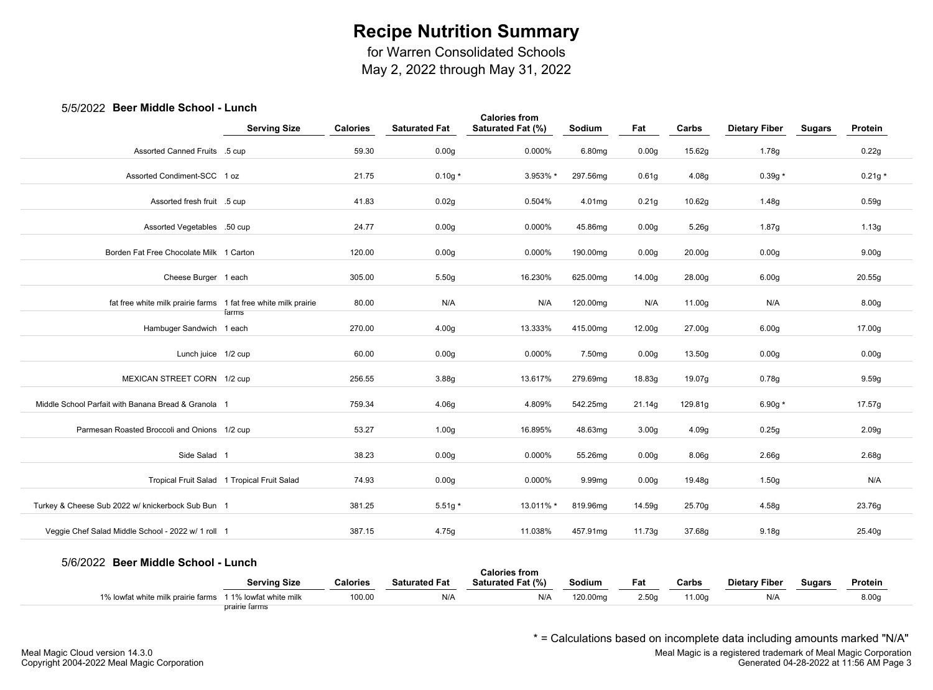for Warren Consolidated Schools

May 2, 2022 through May 31, 2022

## 5/5/2022 **Beer Middle School - Lunch**

|                                                                 |                                             |                 |                      | <b>Calories from</b> |          |                   |                    |                      |               |                   |
|-----------------------------------------------------------------|---------------------------------------------|-----------------|----------------------|----------------------|----------|-------------------|--------------------|----------------------|---------------|-------------------|
|                                                                 | <b>Serving Size</b>                         | <b>Calories</b> | <b>Saturated Fat</b> | Saturated Fat (%)    | Sodium   | Fat               | Carbs              | <b>Dietary Fiber</b> | <b>Sugars</b> | Protein           |
| Assorted Canned Fruits .5 cup                                   |                                             | 59.30           | 0.00 <sub>g</sub>    | 0.000%               | 6.80mg   | 0.00 <sub>g</sub> | 15.62g             | 1.78g                |               | 0.22g             |
| Assorted Condiment-SCC 1 oz                                     |                                             | 21.75           | $0.10g*$             | 3.953% *             | 297.56mg | 0.61 <sub>g</sub> | 4.08g              | $0.39g *$            |               | $0.21g *$         |
| Assorted fresh fruit .5 cup                                     |                                             | 41.83           | 0.02g                | 0.504%               | 4.01mg   | 0.21g             | 10.62g             | 1.48g                |               | 0.59g             |
| Assorted Vegetables .50 cup                                     |                                             | 24.77           | 0.00 <sub>g</sub>    | 0.000%               | 45.86mg  | 0.00 <sub>g</sub> | 5.26g              | 1.87g                |               | 1.13g             |
| Borden Fat Free Chocolate Milk 1 Carton                         |                                             | 120.00          | 0.00 <sub>g</sub>    | 0.000%               | 190.00mg | 0.00 <sub>g</sub> | 20.00 <sub>g</sub> | 0.00 <sub>g</sub>    |               | 9.00 <sub>g</sub> |
| Cheese Burger 1 each                                            |                                             | 305.00          | 5.50g                | 16.230%              | 625.00mg | 14.00g            | 28.00g             | 6.00 <sub>g</sub>    |               | 20.55g            |
| fat free white milk prairie farms 1 fat free white milk prairie |                                             | 80.00           | N/A                  | N/A                  | 120.00mg | N/A               | 11.00g             | N/A                  |               | 8.00g             |
| Hambuger Sandwich 1 each                                        | farms                                       | 270.00          | 4.00 <sub>g</sub>    | 13.333%              | 415.00mg | 12.00g            | 27.00g             | 6.00 <sub>g</sub>    |               | 17.00g            |
| Lunch juice 1/2 cup                                             |                                             | 60.00           | 0.00 <sub>g</sub>    | 0.000%               | 7.50mg   | 0.00 <sub>g</sub> | 13.50g             | 0.00 <sub>g</sub>    |               | 0.00 <sub>g</sub> |
| MEXICAN STREET CORN 1/2 cup                                     |                                             | 256.55          | 3.88g                | 13.617%              | 279.69mg | 18.83g            | 19.07g             | 0.78g                |               | 9.59g             |
| Middle School Parfait with Banana Bread & Granola 1             |                                             | 759.34          | 4.06g                | 4.809%               | 542.25mg | 21.14g            | 129.81g            | 6.90g $*$            |               | 17.57g            |
| Parmesan Roasted Broccoli and Onions 1/2 cup                    |                                             | 53.27           | 1.00 <sub>g</sub>    | 16.895%              | 48.63mg  | 3.00 <sub>g</sub> | 4.09g              | 0.25g                |               | 2.09g             |
| Side Salad 1                                                    |                                             | 38.23           | 0.00 <sub>g</sub>    | 0.000%               | 55.26mg  | 0.00 <sub>g</sub> | 8.06g              | 2.66g                |               | 2.68g             |
|                                                                 | Tropical Fruit Salad 1 Tropical Fruit Salad | 74.93           | 0.00 <sub>g</sub>    | 0.000%               | 9.99mg   | 0.00 <sub>g</sub> | 19.48g             | 1.50g                |               | N/A               |
| Turkey & Cheese Sub 2022 w/ knickerbock Sub Bun 1               |                                             | 381.25          | $5.51g*$             | 13.011% *            | 819.96mg | 14.59g            | 25.70g             | 4.58g                |               | 23.76g            |
| Veggie Chef Salad Middle School - 2022 w/ 1 roll 1              |                                             | 387.15          | 4.75g                | 11.038%              | 457.91mg | 11.73g            | 37.68g             | 9.18 <sub>g</sub>    |               | 25.40g            |

#### 5/6/2022 **Beer Middle School - Lunch**

|                                    |                                    |                 |                      | Calories from     |         |       |        |                      |               |         |  |
|------------------------------------|------------------------------------|-----------------|----------------------|-------------------|---------|-------|--------|----------------------|---------------|---------|--|
|                                    | <b>Serving Size</b>                | <b>Calories</b> | <b>Saturated Fat</b> | Saturated Fat (%) | Sodium  | Fat   | Carbs  | <b>Dietary Fiber</b> | <b>Sugars</b> | Protein |  |
| 1% lowfat white milk prairie farms | 1 1% lowfat white milk<br>$\cdots$ | 100.00          | N/A                  | N/A               | 120.00m | 2.50c | 11.00c | $N/\ell$             |               | 8.00    |  |
|                                    | prairie farms                      |                 |                      |                   |         |       |        |                      |               |         |  |

\* = Calculations based on incomplete data including amounts marked "N/A"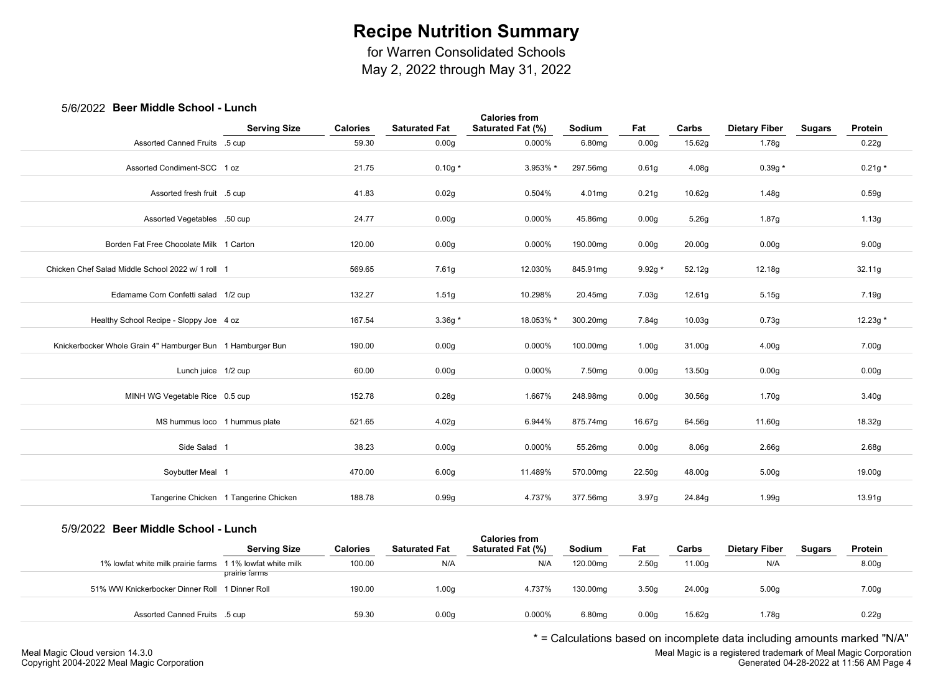for Warren Consolidated Schools

May 2, 2022 through May 31, 2022

## 5/6/2022 **Beer Middle School - Lunch**

|                                                            |                                       |                 |                      | <b>Calories from</b> |                    |                   |                    |                      |               |                   |
|------------------------------------------------------------|---------------------------------------|-----------------|----------------------|----------------------|--------------------|-------------------|--------------------|----------------------|---------------|-------------------|
|                                                            | <b>Serving Size</b>                   | <b>Calories</b> | <b>Saturated Fat</b> | Saturated Fat (%)    | Sodium             | Fat               | Carbs              | <b>Dietary Fiber</b> | <b>Sugars</b> | Protein           |
| Assorted Canned Fruits .5 cup                              |                                       | 59.30           | 0.00 <sub>g</sub>    | 0.000%               | 6.80mg             | 0.00 <sub>g</sub> | 15.62g             | 1.78g                |               | 0.22g             |
| Assorted Condiment-SCC 1 oz                                |                                       | 21.75           | $0.10g*$             | 3.953% *             | 297.56mg           | 0.61 <sub>g</sub> | 4.08g              | $0.39g *$            |               | $0.21g *$         |
| Assorted fresh fruit .5 cup                                |                                       | 41.83           | 0.02g                | 0.504%               | 4.01mg             | 0.21g             | 10.62g             | 1.48g                |               | 0.59g             |
| Assorted Vegetables .50 cup                                |                                       | 24.77           | 0.00 <sub>g</sub>    | 0.000%               | 45.86mg            | 0.00 <sub>g</sub> | 5.26g              | 1.87g                |               | 1.13g             |
| Borden Fat Free Chocolate Milk 1 Carton                    |                                       | 120.00          | 0.00 <sub>g</sub>    | 0.000%               | 190.00mg           | 0.00 <sub>g</sub> | 20.00g             | 0.00g                |               | 9.00 <sub>g</sub> |
| Chicken Chef Salad Middle School 2022 w/ 1 roll 1          |                                       | 569.65          | 7.61g                | 12.030%              | 845.91mg           | $9.92g *$         | 52.12g             | 12.18g               |               | 32.11g            |
| Edamame Corn Confetti salad 1/2 cup                        |                                       | 132.27          | 1.51g                | 10.298%              | 20.45mg            | 7.03g             | 12.61g             | 5.15g                |               | 7.19g             |
| Healthy School Recipe - Sloppy Joe 4 oz                    |                                       | 167.54          | $3.36g*$             | 18.053% *            | 300.20mg           | 7.84g             | 10.03 <sub>g</sub> | 0.73g                |               | 12.23g *          |
| Knickerbocker Whole Grain 4" Hamburger Bun 1 Hamburger Bun |                                       | 190.00          | 0.00 <sub>g</sub>    | 0.000%               | 100.00mg           | 1.00 <sub>g</sub> | 31.00g             | 4.00 <sub>g</sub>    |               | 7.00g             |
| Lunch juice 1/2 cup                                        |                                       | 60.00           | 0.00 <sub>g</sub>    | 0.000%               | 7.50 <sub>mg</sub> | 0.00 <sub>g</sub> | 13.50g             | 0.00g                |               | 0.00g             |
| MINH WG Vegetable Rice 0.5 cup                             |                                       | 152.78          | 0.28g                | 1.667%               | 248.98mg           | 0.00 <sub>g</sub> | 30.56g             | 1.70g                |               | 3.40 <sub>g</sub> |
| MS hummus loco 1 hummus plate                              |                                       | 521.65          | 4.02g                | 6.944%               | 875.74mg           | 16.67g            | 64.56g             | 11.60g               |               | 18.32g            |
| Side Salad 1                                               |                                       | 38.23           | 0.00 <sub>g</sub>    | 0.000%               | 55.26mg            | 0.00 <sub>g</sub> | 8.06g              | 2.66 <sub>g</sub>    |               | 2.68g             |
| Soybutter Meal 1                                           |                                       | 470.00          | 6.00 <sub>g</sub>    | 11.489%              | 570.00mg           | 22.50g            | 48.00g             | 5.00 <sub>g</sub>    |               | 19.00g            |
|                                                            | Tangerine Chicken 1 Tangerine Chicken | 188.78          | 0.99g                | 4.737%               | 377.56mg           | 3.97g             | 24.84g             | 1.99g                |               | 13.91g            |

#### 5/9/2022 **Beer Middle School - Lunch**

|                                                          | <b>Serving Size</b> | <b>Calories</b> | <b>Saturated Fat</b> | <b>Calories from</b><br><b>Saturated Fat (%)</b> | <b>Sodium</b>      | Fat   | Carbs  | <b>Dietary Fiber</b> | <b>Sugars</b> | Protein           |  |
|----------------------------------------------------------|---------------------|-----------------|----------------------|--------------------------------------------------|--------------------|-------|--------|----------------------|---------------|-------------------|--|
| 1% lowfat white milk prairie farms 11% lowfat white milk |                     | 100.00          | N/A                  | N/A                                              | 120.00mg           | 2.50q | 11.00g | N/A                  |               | 8.00 <sub>g</sub> |  |
|                                                          | prairie farms       |                 |                      |                                                  |                    |       |        |                      |               |                   |  |
| 51% WW Knickerbocker Dinner Roll 1 Dinner Roll           |                     | 190.00          | 1.00q                | 4.737%                                           | 130.00mg           | 3.50q | 24.00g | 5.00q                |               | 7.00g             |  |
|                                                          |                     |                 |                      |                                                  |                    |       |        |                      |               |                   |  |
| Assorted Canned Fruits .5 cup                            |                     | 59.30           | 0.00q                | 0.000%                                           | 6.80 <sub>mq</sub> | 0.00q | 15.62g | 1.78g                |               | 0.22g             |  |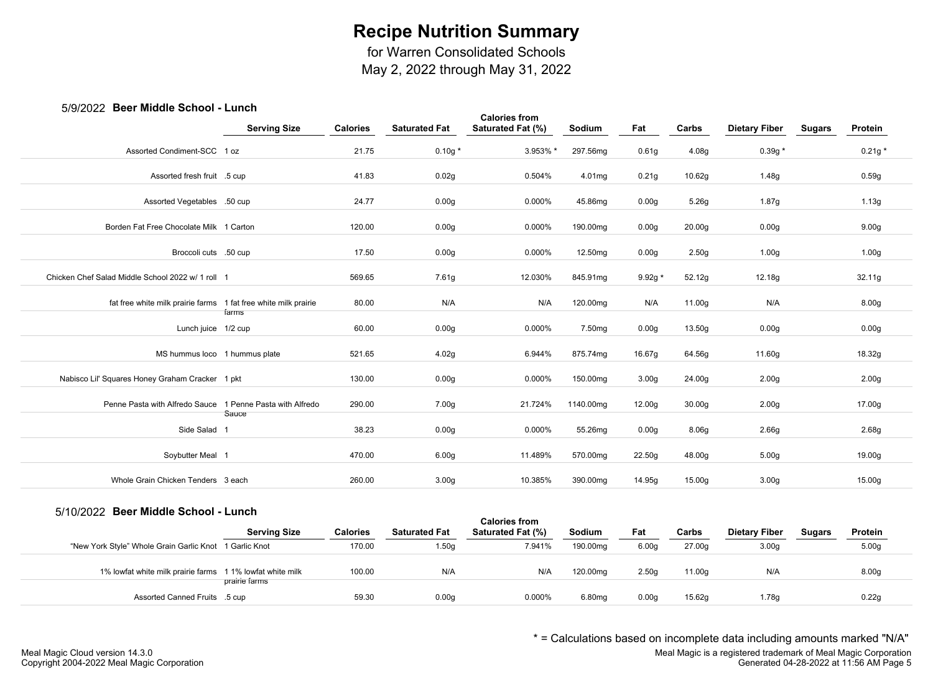for Warren Consolidated Schools

May 2, 2022 through May 31, 2022

### 5/9/2022 **Beer Middle School - Lunch**

| con miaalo oollool                                              | <b>Serving Size</b> | <b>Calories</b> | <b>Saturated Fat</b> | <b>Calories from</b><br>Saturated Fat (%) | Sodium    | Fat               | Carbs              | <b>Dietary Fiber</b> | <b>Sugars</b> | Protein           |
|-----------------------------------------------------------------|---------------------|-----------------|----------------------|-------------------------------------------|-----------|-------------------|--------------------|----------------------|---------------|-------------------|
| Assorted Condiment-SCC 1 oz                                     |                     | 21.75           | $0.10g*$             | 3.953% *                                  | 297.56mg  | 0.61g             | 4.08g              | $0.39g*$             |               | $0.21g *$         |
|                                                                 |                     |                 |                      |                                           |           |                   |                    |                      |               |                   |
| Assorted fresh fruit .5 cup                                     |                     | 41.83           | 0.02g                | 0.504%                                    | 4.01mg    | 0.21g             | 10.62g             | 1.48g                |               | 0.59g             |
| Assorted Vegetables .50 cup                                     |                     | 24.77           | 0.00 <sub>g</sub>    | 0.000%                                    | 45.86mg   | 0.00 <sub>g</sub> | 5.26g              | 1.87g                |               | 1.13g             |
| Borden Fat Free Chocolate Milk 1 Carton                         |                     | 120.00          | 0.00 <sub>g</sub>    | 0.000%                                    | 190.00mg  | 0.00 <sub>g</sub> | 20.00g             | 0.00g                |               | 9.00 <sub>g</sub> |
| Broccoli cuts .50 cup                                           |                     | 17.50           | 0.00 <sub>g</sub>    | 0.000%                                    | 12.50mg   | 0.00 <sub>g</sub> | 2.50 <sub>g</sub>  | 1.00 <sub>g</sub>    |               | 1.00 <sub>g</sub> |
| Chicken Chef Salad Middle School 2022 w/ 1 roll 1               |                     | 569.65          | 7.61g                | 12.030%                                   | 845.91mg  | $9.92g *$         | 52.12g             | 12.18g               |               | 32.11g            |
| fat free white milk prairie farms 1 fat free white milk prairie | farms               | 80.00           | N/A                  | N/A                                       | 120.00mg  | N/A               | 11.00g             | N/A                  |               | 8.00g             |
| Lunch juice 1/2 cup                                             |                     | 60.00           | 0.00 <sub>g</sub>    | 0.000%                                    | 7.50mg    | 0.00 <sub>g</sub> | 13.50g             | 0.00 <sub>g</sub>    |               | 0.00 <sub>g</sub> |
| MS hummus loco 1 hummus plate                                   |                     | 521.65          | 4.02g                | 6.944%                                    | 875.74mg  | 16.67g            | 64.56g             | 11.60g               |               | 18.32g            |
| Nabisco Lil' Squares Honey Graham Cracker 1 pkt                 |                     | 130.00          | 0.00 <sub>g</sub>    | 0.000%                                    | 150.00mg  | 3.00 <sub>g</sub> | 24.00g             | 2.00 <sub>g</sub>    |               | 2.00 <sub>g</sub> |
| Penne Pasta with Alfredo Sauce 1 Penne Pasta with Alfredo       |                     | 290.00          | 7.00 <sub>g</sub>    | 21.724%                                   | 1140.00mg | 12.00g            | 30.00 <sub>g</sub> | 2.00 <sub>g</sub>    |               | 17.00g            |
| Side Salad 1                                                    | Sauce               | 38.23           | 0.00 <sub>g</sub>    | 0.000%                                    | 55.26mg   | 0.00 <sub>g</sub> | 8.06 <sub>g</sub>  | 2.66 <sub>g</sub>    |               | 2.68g             |
| Soybutter Meal 1                                                |                     | 470.00          | 6.00 <sub>g</sub>    | 11.489%                                   | 570.00mg  | 22.50g            | 48.00g             | 5.00 <sub>g</sub>    |               | 19.00g            |
| Whole Grain Chicken Tenders 3 each                              |                     | 260.00          | 3.00 <sub>g</sub>    | 10.385%                                   | 390.00mg  | 14.95g            | 15.00g             | 3.00 <sub>g</sub>    |               | 15.00g            |
|                                                                 |                     |                 |                      |                                           |           |                   |                    |                      |               |                   |

#### 5/10/2022 **Beer Middle School - Lunch**

| <u>UNICULL DUUI MINNIV UUIIVUI</u>                        | -------             |                 |                      | <b>Calories from</b>     |               |       |        |                      |        |                   |  |
|-----------------------------------------------------------|---------------------|-----------------|----------------------|--------------------------|---------------|-------|--------|----------------------|--------|-------------------|--|
|                                                           | <b>Serving Size</b> | <b>Calories</b> | <b>Saturated Fat</b> | <b>Saturated Fat (%)</b> | <b>Sodium</b> | Fat   | Carbs  | <b>Dietary Fiber</b> | Sugars | Protein           |  |
| "New York Style" Whole Grain Garlic Knot 1 Garlic Knot    |                     | 170.00          | 1.50g                | 7.941%                   | 190.00mg      | 6.00q | 27.00g | 3.00q                |        | 5.00 <sub>g</sub> |  |
| 1% lowfat white milk prairie farms 1 1% lowfat white milk |                     | 100.00          | N/A                  | N/A                      | 120.00mg      | 2.50q | 11.00g | N/A                  |        | 8.00g             |  |
|                                                           | prairie farms       |                 |                      |                          |               |       |        |                      |        |                   |  |
| Assorted Canned Fruits .5 cup                             |                     | 59.30           | 0.00 <sub>g</sub>    | 0.000%                   | 6.80mg        | 0.00q | 15.62g | 1.78g                |        | 0.22g             |  |

\* = Calculations based on incomplete data including amounts marked "N/A"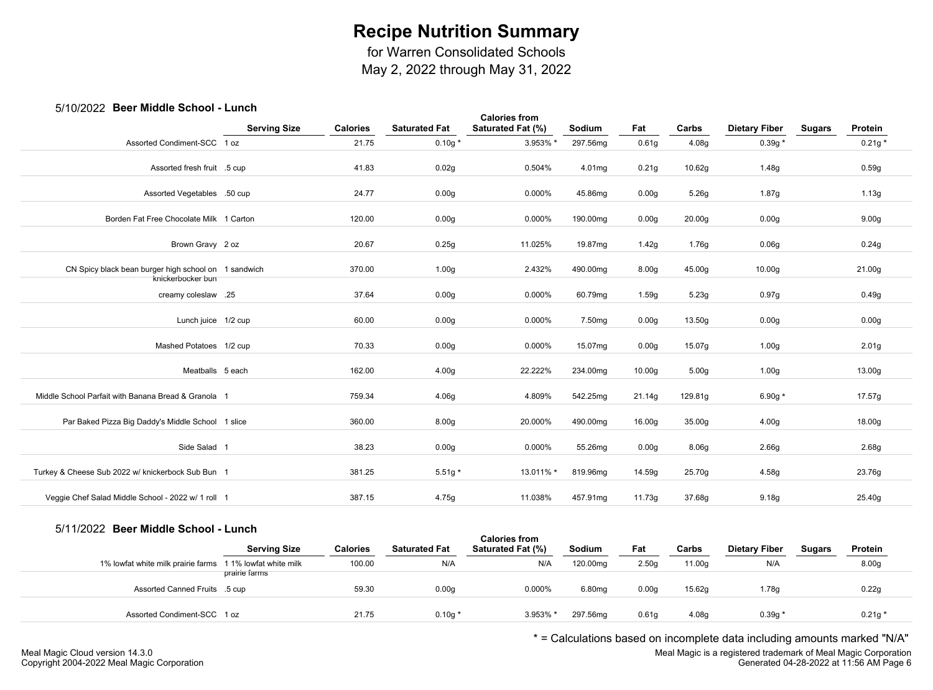for Warren Consolidated Schools

May 2, 2022 through May 31, 2022

## 5/10/2022 **Beer Middle School - Lunch**

| <b>POST INTRATE OUTPUT</b>                                                |                     |                 |                      | <b>Calories from</b> |          |                    |                    |                      |               |                   |
|---------------------------------------------------------------------------|---------------------|-----------------|----------------------|----------------------|----------|--------------------|--------------------|----------------------|---------------|-------------------|
|                                                                           | <b>Serving Size</b> | <b>Calories</b> | <b>Saturated Fat</b> | Saturated Fat (%)    | Sodium   | Fat                | Carbs              | <b>Dietary Fiber</b> | <b>Sugars</b> | Protein           |
| Assorted Condiment-SCC 1 oz                                               |                     | 21.75           | $0.10g *$            | 3.953% *             | 297.56mg | 0.61g              | 4.08g              | $0.39g *$            |               | $0.21g *$         |
| Assorted fresh fruit .5 cup                                               |                     | 41.83           | 0.02g                | 0.504%               | 4.01mg   | 0.21g              | 10.62g             | 1.48g                |               | 0.59g             |
| Assorted Vegetables .50 cup                                               |                     | 24.77           | 0.00 <sub>g</sub>    | 0.000%               | 45.86mg  | 0.00 <sub>g</sub>  | 5.26g              | 1.87g                |               | 1.13g             |
| Borden Fat Free Chocolate Milk 1 Carton                                   |                     | 120.00          | 0.00 <sub>g</sub>    | 0.000%               | 190.00mg | 0.00 <sub>g</sub>  | 20.00 <sub>g</sub> | 0.00 <sub>g</sub>    |               | 9.00 <sub>g</sub> |
| Brown Gravy 2 oz                                                          |                     | 20.67           | 0.25g                | 11.025%              | 19.87mg  | 1.42g              | 1.76g              | 0.06g                |               | 0.24g             |
| CN Spicy black bean burger high school on 1 sandwich<br>knickerbocker bun |                     | 370.00          | 1.00 <sub>g</sub>    | 2.432%               | 490.00mg | 8.00g              | 45.00g             | 10.00 <sub>g</sub>   |               | 21.00g            |
| creamy coleslaw .25                                                       |                     | 37.64           | 0.00 <sub>g</sub>    | 0.000%               | 60.79mg  | 1.59g              | 5.23g              | 0.97g                |               | 0.49g             |
| Lunch juice 1/2 cup                                                       |                     | 60.00           | 0.00 <sub>g</sub>    | 0.000%               | 7.50mg   | 0.00 <sub>g</sub>  | 13.50g             | 0.00g                |               | 0.00g             |
| Mashed Potatoes 1/2 cup                                                   |                     | 70.33           | 0.00 <sub>g</sub>    | 0.000%               | 15.07mg  | 0.00 <sub>g</sub>  | 15.07g             | 1.00 <sub>g</sub>    |               | 2.01 <sub>g</sub> |
| Meatballs 5 each                                                          |                     | 162.00          | 4.00 <sub>g</sub>    | 22.222%              | 234.00mg | 10.00 <sub>g</sub> | 5.00 <sub>g</sub>  | 1.00 <sub>g</sub>    |               | 13.00g            |
| Middle School Parfait with Banana Bread & Granola 1                       |                     | 759.34          | 4.06g                | 4.809%               | 542.25mg | 21.14g             | 129.81g            | 6.90g $*$            |               | 17.57g            |
| Par Baked Pizza Big Daddy's Middle School 1 slice                         |                     | 360.00          | 8.00 <sub>g</sub>    | 20.000%              | 490.00mg | 16.00g             | 35.00g             | 4.00 <sub>g</sub>    |               | 18.00g            |
| Side Salad 1                                                              |                     | 38.23           | 0.00 <sub>g</sub>    | 0.000%               | 55.26mg  | 0.00 <sub>g</sub>  | 8.06g              | 2.66 <sub>g</sub>    |               | 2.68g             |
| Turkey & Cheese Sub 2022 w/ knickerbock Sub Bun 1                         |                     | 381.25          | $5.51g*$             | 13.011% *            | 819.96mg | 14.59g             | 25.70g             | 4.58g                |               | 23.76g            |
| Veggie Chef Salad Middle School - 2022 w/ 1 roll 1                        |                     | 387.15          | 4.75g                | 11.038%              | 457.91mg | 11.73g             | 37.68g             | 9.18 <sub>g</sub>    |               | 25.40g            |
|                                                                           |                     |                 |                      |                      |          |                    |                    |                      |               |                   |

#### 5/11/2022 **Beer Middle School - Lunch**

|                                    | <b>Serving Size</b>                     | <b>Calories</b> | <b>Saturated Fat</b> | <b>Calories from</b><br>Saturated Fat (%) | Sodium             | Fat   | Carbs  | <b>Dietary Fiber</b> | <b>Sugars</b> | Protein   |  |
|------------------------------------|-----------------------------------------|-----------------|----------------------|-------------------------------------------|--------------------|-------|--------|----------------------|---------------|-----------|--|
| 1% lowfat white milk prairie farms | 1 1% lowfat white milk<br>prairie farms | 100.00          | N/A                  | N/A                                       | 120.00mg           | 2.50q | 11.00g | N/A                  |               | 8.00g     |  |
| Assorted Canned Fruits .5 cup      |                                         | 59.30           | 0.00 <sub>g</sub>    | 0.000%                                    | 6.80 <sub>mq</sub> | 0.00q | 15.62g | 1.78g                |               | 0.22g     |  |
| Assorted Condiment-SCC 1 oz        |                                         | 21.75           | $0.10g *$            | 3.953% *                                  | 297.56mg           | 0.61q | 4.08g  | 0.39g                |               | $0.21g *$ |  |

\* = Calculations based on incomplete data including amounts marked "N/A"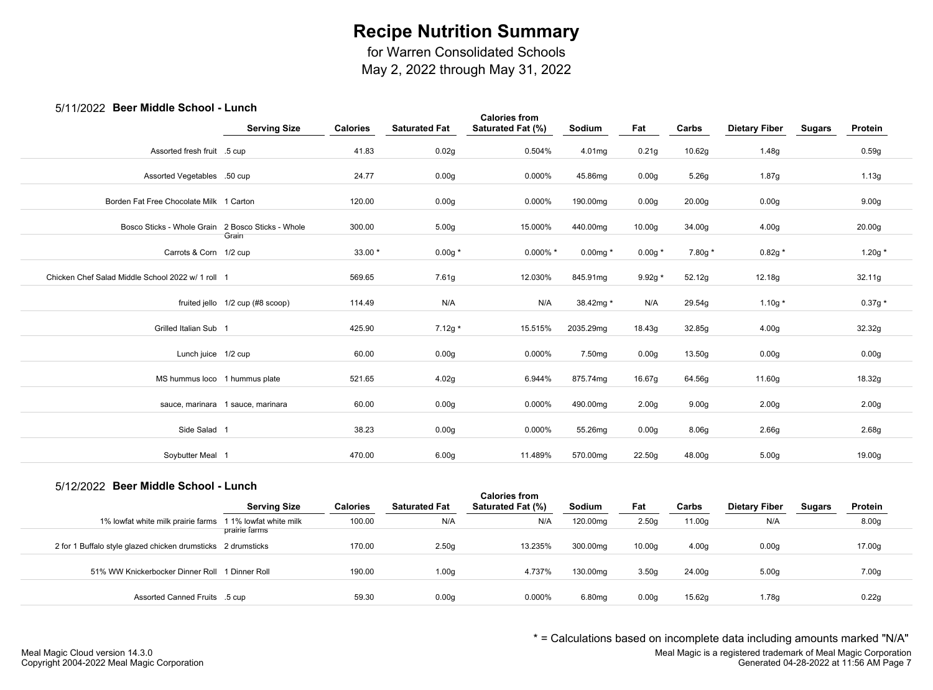for Warren Consolidated Schools

May 2, 2022 through May 31, 2022

### 5/11/2022 **Beer Middle School - Lunch**

| ZUZZ DUUI MIUUIU UUIIUUI                          |                                   |                 |                      |                                           |           |                   |                   |                      |               |                   |
|---------------------------------------------------|-----------------------------------|-----------------|----------------------|-------------------------------------------|-----------|-------------------|-------------------|----------------------|---------------|-------------------|
|                                                   | <b>Serving Size</b>               | <b>Calories</b> | <b>Saturated Fat</b> | <b>Calories from</b><br>Saturated Fat (%) | Sodium    | Fat               | Carbs             | <b>Dietary Fiber</b> | <b>Sugars</b> | Protein           |
| Assorted fresh fruit .5 cup                       |                                   | 41.83           | 0.02g                | 0.504%                                    | 4.01mg    | 0.21g             | 10.62g            | 1.48g                |               | 0.59g             |
| Assorted Vegetables .50 cup                       |                                   | 24.77           | 0.00 <sub>g</sub>    | 0.000%                                    | 45.86mg   | 0.00 <sub>g</sub> | 5.26g             | 1.87g                |               | 1.13g             |
| Borden Fat Free Chocolate Milk 1 Carton           |                                   | 120.00          | 0.00 <sub>g</sub>    | 0.000%                                    | 190.00mg  | 0.00g             | 20.00g            | 0.00g                |               | 9.00 <sub>g</sub> |
| Bosco Sticks - Whole Grain                        | 2 Bosco Sticks - Whole<br>Grain   | 300.00          | 5.00 <sub>g</sub>    | 15.000%                                   | 440.00mg  | 10.00g            | 34.00g            | 4.00g                |               | 20.00g            |
| Carrots & Corn 1/2 cup                            |                                   | $33.00*$        | $0.00g *$            | $0.000\%$ *                               | 0.00mg *  | $0.00g *$         | 7.80g *           | $0.82g *$            |               | 1.20g $*$         |
| Chicken Chef Salad Middle School 2022 w/ 1 roll 1 |                                   | 569.65          | 7.61g                | 12.030%                                   | 845.91mg  | 9.92g *           | 52.12g            | 12.18g               |               | 32.11g            |
|                                                   | fruited jello 1/2 cup (#8 scoop)  | 114.49          | N/A                  | N/A                                       | 38.42mg * | N/A               | 29.54g            | 1.10g $*$            |               | $0.37g*$          |
| Grilled Italian Sub 1                             |                                   | 425.90          | $7.12g*$             | 15.515%                                   | 2035.29mg | 18.43g            | 32.85g            | 4.00 <sub>g</sub>    |               | 32.32g            |
| Lunch juice 1/2 cup                               |                                   | 60.00           | 0.00 <sub>g</sub>    | 0.000%                                    | 7.50mg    | 0.00g             | 13.50g            | 0.00g                |               | 0.00 <sub>g</sub> |
| MS hummus loco 1 hummus plate                     |                                   | 521.65          | 4.02g                | 6.944%                                    | 875.74mg  | 16.67g            | 64.56g            | 11.60g               |               | 18.32g            |
|                                                   | sauce, marinara 1 sauce, marinara | 60.00           | 0.00 <sub>g</sub>    | 0.000%                                    | 490.00mg  | 2.00 <sub>g</sub> | 9.00 <sub>g</sub> | 2.00 <sub>g</sub>    |               | 2.00 <sub>g</sub> |
| Side Salad 1                                      |                                   | 38.23           | 0.00 <sub>g</sub>    | 0.000%                                    | 55.26mg   | 0.00g             | 8.06g             | 2.66g                |               | 2.68g             |
| Soybutter Meal 1                                  |                                   | 470.00          | 6.00 <sub>g</sub>    | 11.489%                                   | 570.00mg  | 22.50g            | 48.00g            | 5.00 <sub>g</sub>    |               | 19.00g            |
|                                                   |                                   |                 |                      |                                           |           |                   |                   |                      |               |                   |

#### 5/12/2022 **Beer Middle School - Lunch**

| <u>UNICIALE DUUI MIUUIU UUIIUUI - LUIIUII </u>               | <b>Serving Size</b>                     | <b>Calories</b> | <b>Saturated Fat</b> | <b>Calories from</b><br>Saturated Fat (%) | Sodium   | Fat               | Carbs  | <b>Dietary Fiber</b> | <b>Sugars</b> | Protein           |
|--------------------------------------------------------------|-----------------------------------------|-----------------|----------------------|-------------------------------------------|----------|-------------------|--------|----------------------|---------------|-------------------|
| 1% lowfat white milk prairie farms                           | 1 1% lowfat white milk<br>prairie farms | 100.00          | N/A                  | N/A                                       | 120.00mg | 2.50 <sub>g</sub> | 11.00g | N/A                  |               | 8.00 <sub>g</sub> |
| 2 for 1 Buffalo style glazed chicken drumsticks 2 drumsticks |                                         | 170.00          | 2.50 <sub>g</sub>    | 13.235%                                   | 300.00mg | 10.00q            | 4.00q  | 0.00q                |               | 17.00g            |
| 51% WW Knickerbocker Dinner Roll 1 Dinner Roll               |                                         | 190.00          | 1.00 <sub>g</sub>    | 4.737%                                    | 130.00mg | 3.50 <sub>g</sub> | 24.00g | 5.00 <sub>q</sub>    |               | 7.00 <sub>g</sub> |
| Assorted Canned Fruits .5 cup                                |                                         | 59.30           | 0.00 <sub>g</sub>    | 0.000%                                    | 6.80mg   | 0.00q             | 15.62g | 1.78a                |               | 0.22q             |

\* = Calculations based on incomplete data including amounts marked "N/A"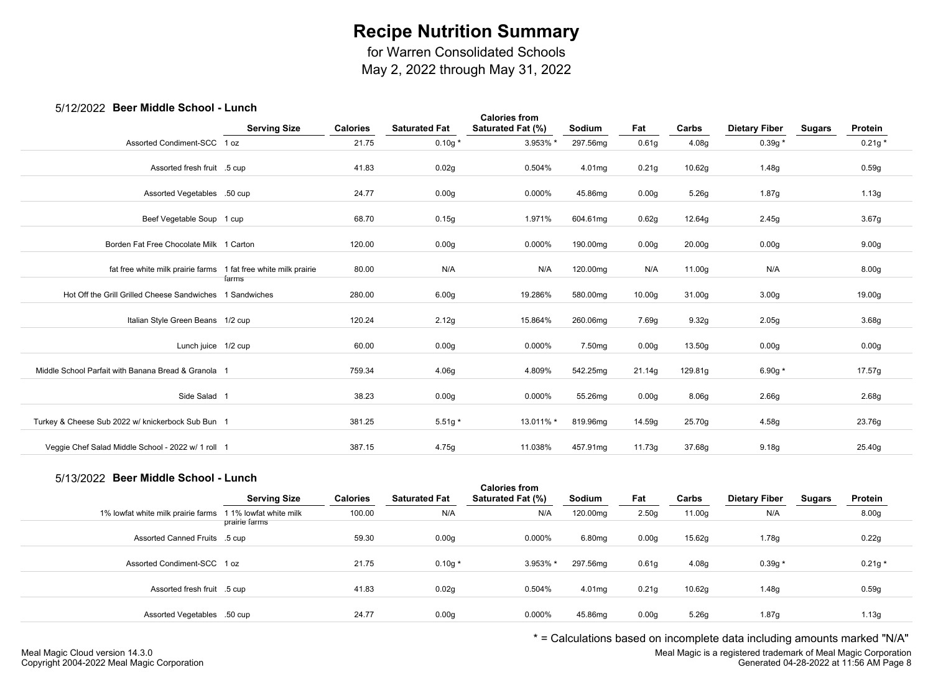for Warren Consolidated Schools

May 2, 2022 through May 31, 2022

## 5/12/2022 **Beer Middle School - Lunch**

| <b>POUL INIQUID OUILOUI</b>                                     |                     |                 |                      |                                           |                    |                    |                    |                      |        |                   |  |
|-----------------------------------------------------------------|---------------------|-----------------|----------------------|-------------------------------------------|--------------------|--------------------|--------------------|----------------------|--------|-------------------|--|
|                                                                 | <b>Serving Size</b> | <b>Calories</b> | <b>Saturated Fat</b> | <b>Calories from</b><br>Saturated Fat (%) | Sodium             | Fat                | Carbs              | <b>Dietary Fiber</b> | Sugars | Protein           |  |
| Assorted Condiment-SCC 1 oz                                     |                     | 21.75           | $0.10g *$            | 3.953% *                                  | 297.56mg           | 0.61 <sub>g</sub>  | 4.08g              | $0.39g *$            |        | $0.21g *$         |  |
| Assorted fresh fruit .5 cup                                     |                     | 41.83           | 0.02g                | 0.504%                                    | 4.01mg             | 0.21g              | 10.62g             | 1.48g                |        | 0.59g             |  |
| Assorted Vegetables .50 cup                                     |                     | 24.77           | 0.00 <sub>g</sub>    | 0.000%                                    | 45.86mg            | 0.00 <sub>g</sub>  | 5.26g              | 1.87g                |        | 1.13g             |  |
| Beef Vegetable Soup 1 cup                                       |                     | 68.70           | 0.15g                | 1.971%                                    | 604.61mg           | 0.62g              | 12.64g             | 2.45g                |        | 3.67g             |  |
| Borden Fat Free Chocolate Milk 1 Carton                         |                     | 120.00          | 0.00 <sub>g</sub>    | 0.000%                                    | 190.00mg           | 0.00 <sub>g</sub>  | 20.00 <sub>g</sub> | 0.00 <sub>g</sub>    |        | 9.00 <sub>g</sub> |  |
| fat free white milk prairie farms 1 fat free white milk prairie | farms               | 80.00           | N/A                  | N/A                                       | 120.00mg           | N/A                | 11.00g             | N/A                  |        | 8.00 <sub>g</sub> |  |
| Hot Off the Grill Grilled Cheese Sandwiches 1 Sandwiches        |                     | 280.00          | 6.00g                | 19.286%                                   | 580.00mg           | 10.00 <sub>g</sub> | 31.00g             | 3.00 <sub>g</sub>    |        | 19.00g            |  |
| Italian Style Green Beans 1/2 cup                               |                     | 120.24          | 2.12g                | 15.864%                                   | 260.06mg           | 7.69g              | 9.32g              | 2.05g                |        | 3.68g             |  |
| Lunch juice 1/2 cup                                             |                     | 60.00           | 0.00 <sub>g</sub>    | 0.000%                                    | 7.50 <sub>mq</sub> | 0.00 <sub>g</sub>  | 13.50g             | 0.00 <sub>g</sub>    |        | 0.00 <sub>g</sub> |  |
| Middle School Parfait with Banana Bread & Granola 1             |                     | 759.34          | 4.06g                | 4.809%                                    | 542.25mg           | 21.14g             | 129.81g            | 6.90g $*$            |        | 17.57g            |  |
| Side Salad 1                                                    |                     | 38.23           | 0.00 <sub>g</sub>    | 0.000%                                    | 55.26mg            | 0.00q              | 8.06 <sub>g</sub>  | 2.66 <sub>g</sub>    |        | 2.68g             |  |
| Turkey & Cheese Sub 2022 w/ knickerbock Sub Bun 1               |                     | 381.25          | $5.51g*$             | 13.011% *                                 | 819.96mg           | 14.59g             | 25.70g             | 4.58g                |        | 23.76g            |  |
| Veggie Chef Salad Middle School - 2022 w/ 1 roll 1              |                     | 387.15          | 4.75g                | 11.038%                                   | 457.91mg           | 11.73g             | 37.68g             | 9.18g                |        | 25.40g            |  |
|                                                                 |                     |                 |                      |                                           |                    |                    |                    |                      |        |                   |  |

# 5/13/2022 **Beer Middle School - Lunch**

| <u>ULIULA DUUL MININ UUHUU FEMINII</u> |                        |                 |                      | <b>Calories from</b> |          |                   |        |                      |               |                   |  |
|----------------------------------------|------------------------|-----------------|----------------------|----------------------|----------|-------------------|--------|----------------------|---------------|-------------------|--|
|                                        | <b>Serving Size</b>    | <b>Calories</b> | <b>Saturated Fat</b> | Saturated Fat (%)    | Sodium   | Fat               | Carbs  | <b>Dietary Fiber</b> | <b>Sugars</b> | Protein           |  |
| 1% lowfat white milk prairie farms     | 1 1% lowfat white milk | 100.00          | N/A                  | N/A                  | 120.00mg | 2.50 <sub>g</sub> | 11.00g | N/A                  |               | 8.00 <sub>g</sub> |  |
|                                        | prairie farms          |                 |                      |                      |          |                   |        |                      |               |                   |  |
| Assorted Canned Fruits .5 cup          |                        | 59.30           | 0.00 <sub>g</sub>    | 0.000%               | 6.80mg   | 0.00 <sub>g</sub> | 15.62g | 1.78g                |               | 0.22g             |  |
|                                        |                        |                 |                      |                      |          |                   |        |                      |               |                   |  |
| Assorted Condiment-SCC 1 oz            |                        | 21.75           | $0.10g*$             | 3.953% *             | 297.56mg | 0.61q             | 4.08g  | $0.39g *$            |               | $0.21g *$         |  |
|                                        |                        |                 |                      |                      |          |                   |        |                      |               |                   |  |
| Assorted fresh fruit .5 cup            |                        | 41.83           | 0.02g                | 0.504%               | 4.01mg   | 0.21q             | 10.62g | 1.48g                |               | 0.59g             |  |
|                                        |                        |                 |                      |                      |          |                   |        |                      |               |                   |  |
| Assorted Vegetables .50 cup            |                        | 24.77           | 0.00 <sub>g</sub>    | 0.000%               | 45.86mg  | 0.00 <sub>g</sub> | 5.26g  | 1.87g                |               | 1.13g             |  |
|                                        |                        |                 |                      |                      |          |                   |        |                      |               |                   |  |

\* = Calculations based on incomplete data including amounts marked "N/A"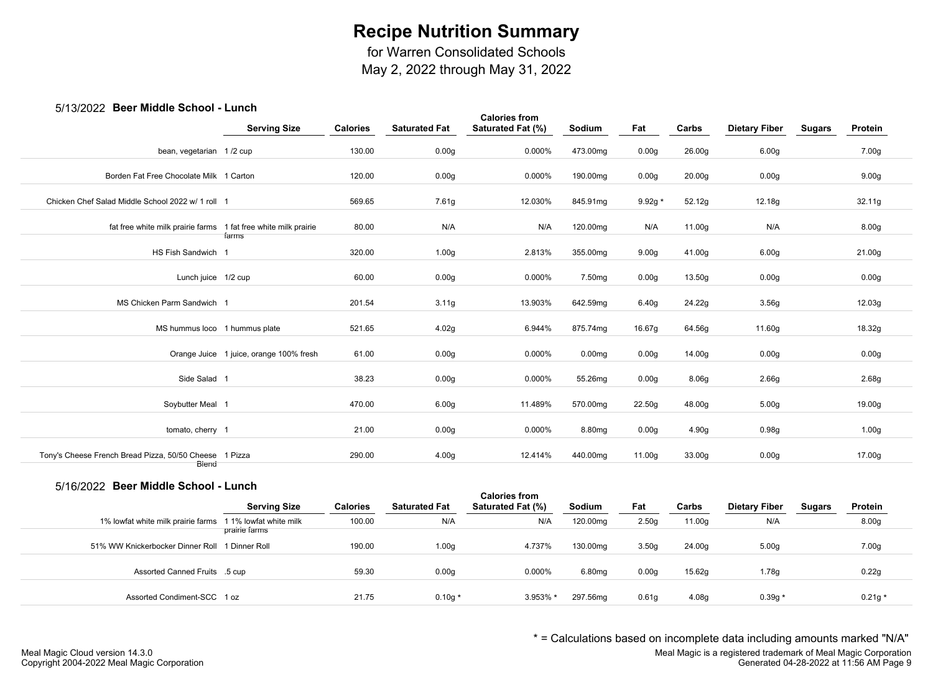for Warren Consolidated Schools

May 2, 2022 through May 31, 2022

### 5/13/2022 **Beer Middle School - Lunch**

| ULL DUUI IIIIWWIU<br>"                                          |                                         |                 |                      |                                           |                    |                   |        |                      |               |                   |  |
|-----------------------------------------------------------------|-----------------------------------------|-----------------|----------------------|-------------------------------------------|--------------------|-------------------|--------|----------------------|---------------|-------------------|--|
|                                                                 | <b>Serving Size</b>                     | <b>Calories</b> | <b>Saturated Fat</b> | <b>Calories from</b><br>Saturated Fat (%) | Sodium             | Fat               | Carbs  | <b>Dietary Fiber</b> | <b>Sugars</b> | Protein           |  |
| bean, vegetarian 1/2 cup                                        |                                         | 130.00          | 0.00 <sub>g</sub>    | 0.000%                                    | 473.00mg           | 0.00 <sub>g</sub> | 26.00g | 6.00 <sub>g</sub>    |               | 7.00g             |  |
| Borden Fat Free Chocolate Milk 1 Carton                         |                                         | 120.00          | 0.00 <sub>g</sub>    | 0.000%                                    | 190.00mg           | 0.00 <sub>g</sub> | 20.00g | 0.00 <sub>g</sub>    |               | 9.00 <sub>g</sub> |  |
| Chicken Chef Salad Middle School 2022 w/ 1 roll 1               |                                         | 569.65          | 7.61g                | 12.030%                                   | 845.91mg           | $9.92g *$         | 52.12g | 12.18g               |               | 32.11g            |  |
| fat free white milk prairie farms 1 fat free white milk prairie | farms                                   | 80.00           | N/A                  | N/A                                       | 120.00mg           | N/A               | 11.00g | N/A                  |               | 8.00g             |  |
| HS Fish Sandwich 1                                              |                                         | 320.00          | 1.00 <sub>g</sub>    | 2.813%                                    | 355.00mg           | 9.00 <sub>g</sub> | 41.00g | 6.00 <sub>g</sub>    |               | 21.00g            |  |
| Lunch juice 1/2 cup                                             |                                         | 60.00           | 0.00 <sub>g</sub>    | 0.000%                                    | 7.50 <sub>mg</sub> | 0.00g             | 13.50g | 0.00 <sub>g</sub>    |               | 0.00 <sub>g</sub> |  |
| MS Chicken Parm Sandwich 1                                      |                                         | 201.54          | 3.11g                | 13.903%                                   | 642.59mg           | 6.40 <sub>g</sub> | 24.22g | 3.56g                |               | 12.03g            |  |
| MS hummus loco 1 hummus plate                                   |                                         | 521.65          | 4.02g                | 6.944%                                    | 875.74mg           | 16.67g            | 64.56g | 11.60g               |               | 18.32g            |  |
|                                                                 | Orange Juice 1 juice, orange 100% fresh | 61.00           | 0.00 <sub>g</sub>    | 0.000%                                    | 0.00 <sub>mg</sub> | 0.00 <sub>g</sub> | 14.00g | 0.00 <sub>g</sub>    |               | 0.00 <sub>g</sub> |  |
| Side Salad 1                                                    |                                         | 38.23           | 0.00 <sub>g</sub>    | 0.000%                                    | 55.26mg            | 0.00 <sub>g</sub> | 8.06g  | 2.66g                |               | 2.68g             |  |
| Soybutter Meal 1                                                |                                         | 470.00          | 6.00 <sub>g</sub>    | 11.489%                                   | 570.00mg           | 22.50g            | 48.00g | 5.00 <sub>g</sub>    |               | 19.00g            |  |
| tomato, cherry 1                                                |                                         | 21.00           | 0.00 <sub>g</sub>    | 0.000%                                    | 8.80mg             | 0.00 <sub>g</sub> | 4.90g  | 0.98g                |               | 1.00 <sub>g</sub> |  |
| Tony's Cheese French Bread Pizza, 50/50 Cheese 1 Pizza          |                                         | 290.00          | 4.00g                | 12.414%                                   | 440.00mg           | 11.00g            | 33.00g | 0.00 <sub>g</sub>    |               | 17.00g            |  |
| Biend                                                           |                                         |                 |                      |                                           |                    |                   |        |                      |               |                   |  |

#### 5/16/2022 **Beer Middle School - Lunch**

| <u>UNIUNICULE DUUI MINNIU UUIIUUI - LUIIUII</u>          | <b>Serving Size</b> | <b>Calories</b> | <b>Saturated Fat</b> | <b>Calories from</b><br>Saturated Fat (%) | Sodium   | Fat               | Carbs  | <b>Dietary Fiber</b> | <b>Sugars</b> | Protein           |
|----------------------------------------------------------|---------------------|-----------------|----------------------|-------------------------------------------|----------|-------------------|--------|----------------------|---------------|-------------------|
| 1% lowfat white milk prairie farms 11% lowfat white milk | prairie farms       | 100.00          | N/A                  | N/A                                       | 120.00mg | 2.50 <sub>g</sub> | 11.00g | N/A                  |               | 8.00 <sub>g</sub> |
| 51% WW Knickerbocker Dinner Roll 1 Dinner Roll           |                     | 190.00          | 1.00 <sub>g</sub>    | 4.737%                                    | 130.00mg | 3.50 <sub>g</sub> | 24.00g | 5.00 <sub>q</sub>    |               | 7.00 <sub>g</sub> |
| Assorted Canned Fruits .5 cup                            |                     | 59.30           | 0.00q                | 0.000%                                    | 6.80mg   | 0.00q             | 15.62g | 1.78a                |               | 0.22g             |
| Assorted Condiment-SCC 1 oz                              |                     | 21.75           | $0.10g*$             | 3.953% *                                  | 297.56mg | 0.61q             | 4.08g  | $0.39q *$            |               | $0.21g*$          |

\* = Calculations based on incomplete data including amounts marked "N/A"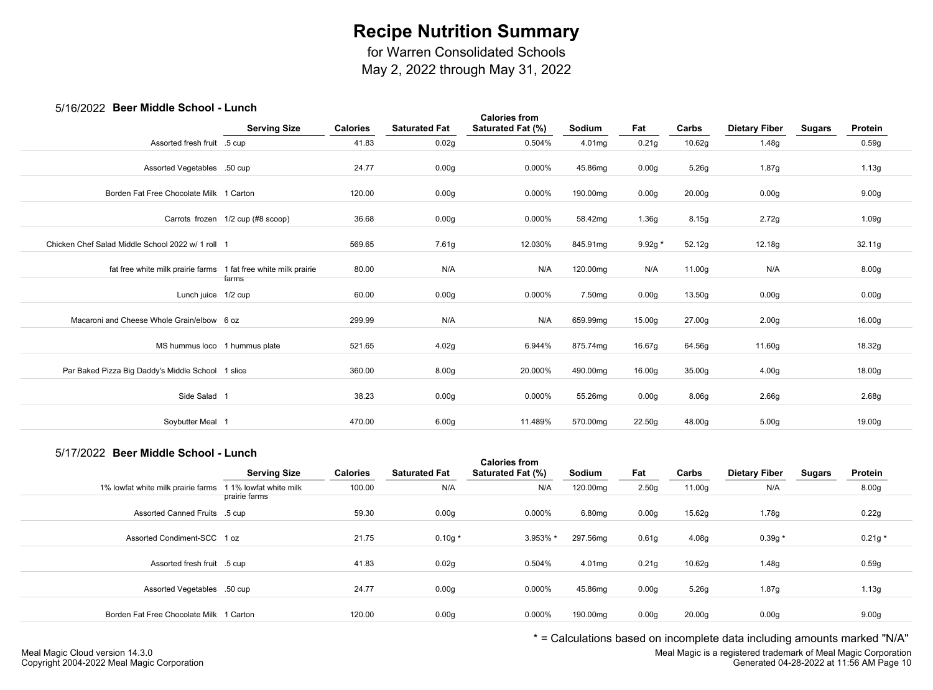for Warren Consolidated Schools

May 2, 2022 through May 31, 2022

### 5/16/2022 **Beer Middle School - Lunch**

| יט יש<br>LULL DUUI MINGUIU OUIIUUI                              | ------                            |                 |                      |                                           |                    |                   |        |                      |        |                   |  |
|-----------------------------------------------------------------|-----------------------------------|-----------------|----------------------|-------------------------------------------|--------------------|-------------------|--------|----------------------|--------|-------------------|--|
|                                                                 | <b>Serving Size</b>               | <b>Calories</b> | <b>Saturated Fat</b> | <b>Calories from</b><br>Saturated Fat (%) | Sodium             | Fat               | Carbs  | <b>Dietary Fiber</b> | Sugars | Protein           |  |
| Assorted fresh fruit .5 cup                                     |                                   | 41.83           | 0.02g                | 0.504%                                    | 4.01mg             | 0.21g             | 10.62g | 1.48g                |        | 0.59g             |  |
| Assorted Vegetables .50 cup                                     |                                   | 24.77           | 0.00g                | 0.000%                                    | 45.86mg            | 0.00 <sub>g</sub> | 5.26g  | 1.87g                |        | 1.13g             |  |
| Borden Fat Free Chocolate Milk 1 Carton                         |                                   | 120.00          | 0.00 <sub>g</sub>    | 0.000%                                    | 190.00mg           | 0.00g             | 20.00g | 0.00 <sub>g</sub>    |        | 9.00 <sub>g</sub> |  |
|                                                                 | Carrots frozen 1/2 cup (#8 scoop) | 36.68           | 0.00 <sub>g</sub>    | 0.000%                                    | 58.42mg            | 1.36g             | 8.15g  | 2.72g                |        | 1.09g             |  |
| Chicken Chef Salad Middle School 2022 w/ 1 roll 1               |                                   | 569.65          | 7.61g                | 12.030%                                   | 845.91mg           | 9.92g *           | 52.12g | 12.18g               |        | 32.11g            |  |
| fat free white milk prairie farms 1 fat free white milk prairie | farms                             | 80.00           | N/A                  | N/A                                       | 120.00mg           | N/A               | 11.00g | N/A                  |        | 8.00 <sub>g</sub> |  |
| Lunch juice 1/2 cup                                             |                                   | 60.00           | 0.00g                | 0.000%                                    | 7.50 <sub>mg</sub> | 0.00 <sub>g</sub> | 13.50g | 0.00g                |        | 0.00g             |  |
| Macaroni and Cheese Whole Grain/elbow 6 oz                      |                                   | 299.99          | N/A                  | N/A                                       | 659.99mg           | 15.00g            | 27.00g | 2.00 <sub>g</sub>    |        | 16.00g            |  |
| MS hummus loco 1 hummus plate                                   |                                   | 521.65          | 4.02g                | 6.944%                                    | 875.74mg           | 16.67g            | 64.56g | 11.60g               |        | 18.32g            |  |
| Par Baked Pizza Big Daddy's Middle School 1 slice               |                                   | 360.00          | 8.00 <sub>g</sub>    | 20.000%                                   | 490.00mg           | 16.00g            | 35.00g | 4.00 <sub>g</sub>    |        | 18.00g            |  |
| Side Salad 1                                                    |                                   | 38.23           | 0.00g                | 0.000%                                    | 55.26mg            | 0.00 <sub>g</sub> | 8.06g  | 2.66g                |        | 2.68g             |  |
| Soybutter Meal 1                                                |                                   | 470.00          | 6.00 <sub>g</sub>    | 11.489%                                   | 570.00mg           | 22.50g            | 48.00g | 5.00 <sub>g</sub>    |        | 19.00g            |  |

#### 5/17/2022 **Beer Middle School - Lunch**

|                                         | <b>Serving Size</b>                     | <b>Calories</b> | <b>Saturated Fat</b> | <b>Calories from</b><br>Saturated Fat (%) | Sodium   | Fat               | Carbs              | <b>Dietary Fiber</b> | Sugars | Protein           |  |
|-----------------------------------------|-----------------------------------------|-----------------|----------------------|-------------------------------------------|----------|-------------------|--------------------|----------------------|--------|-------------------|--|
| 1% lowfat white milk prairie farms      | 1 1% lowfat white milk<br>prairie farms | 100.00          | N/A                  | N/A                                       | 120.00mg | 2.50 <sub>g</sub> | 11.00g             | N/A                  |        | 8.00 <sub>g</sub> |  |
| Assorted Canned Fruits .5 cup           |                                         | 59.30           | 0.00 <sub>g</sub>    | 0.000%                                    | 6.80mg   | 0.00 <sub>g</sub> | 15.62g             | 1.78g                |        | 0.22g             |  |
| Assorted Condiment-SCC 1 oz             |                                         | 21.75           | $0.10g *$            | 3.953% *                                  | 297.56mg | 0.61 <sub>g</sub> | 4.08 <sub>g</sub>  | $0.39g *$            |        | $0.21g *$         |  |
| Assorted fresh fruit .5 cup             |                                         | 41.83           | 0.02g                | 0.504%                                    | 4.01mg   | 0.21 <sub>g</sub> | 10.62g             | 1.48g                |        | 0.59g             |  |
| Assorted Vegetables .50 cup             |                                         | 24.77           | 0.00 <sub>g</sub>    | 0.000%                                    | 45.86mg  | 0.00 <sub>g</sub> | 5.26g              | 1.87g                |        | 1.13g             |  |
| Borden Fat Free Chocolate Milk 1 Carton |                                         | 120.00          | 0.00 <sub>g</sub>    | 0.000%                                    | 190.00mg | 0.00 <sub>g</sub> | 20.00 <sub>g</sub> | 0.00 <sub>g</sub>    |        | 9.00 <sub>g</sub> |  |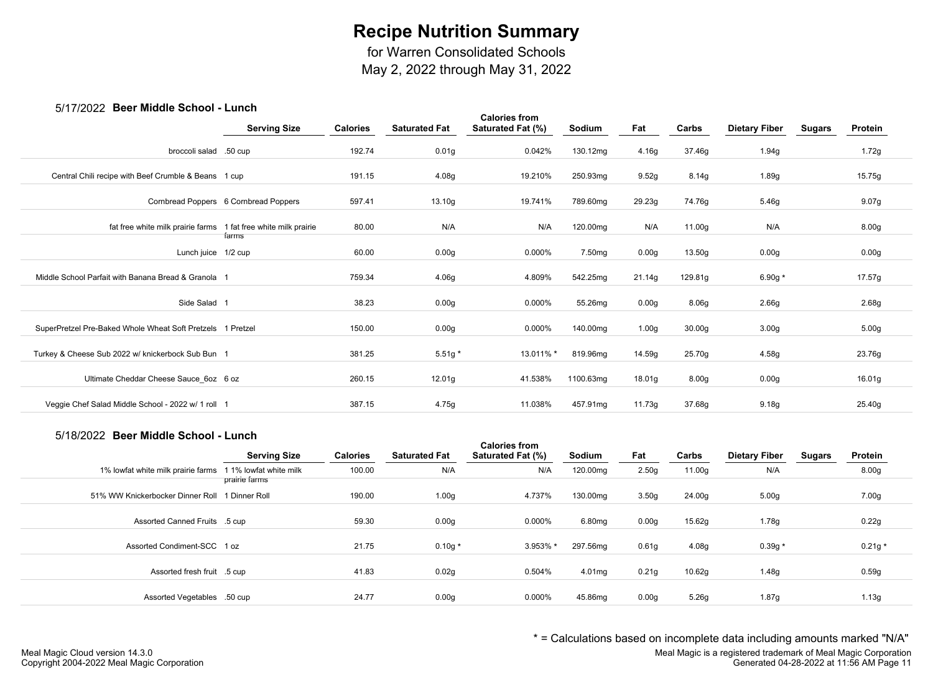for Warren Consolidated Schools

May 2, 2022 through May 31, 2022

### 5/17/2022 **Beer Middle School - Lunch**

| 07 THEOLL DUCT MIGGIC OCTION                                    |                                       |                 |                      |                                           |               |        |                    |                      |               |                   |  |
|-----------------------------------------------------------------|---------------------------------------|-----------------|----------------------|-------------------------------------------|---------------|--------|--------------------|----------------------|---------------|-------------------|--|
|                                                                 | <b>Serving Size</b>                   | <b>Calories</b> | <b>Saturated Fat</b> | <b>Calories from</b><br>Saturated Fat (%) | <b>Sodium</b> | Fat    | Carbs              | <b>Dietary Fiber</b> | <b>Sugars</b> | Protein           |  |
| broccoli salad .50 cup                                          |                                       | 192.74          | 0.01 <sub>g</sub>    | 0.042%                                    | 130.12mg      | 4.16g  | 37.46g             | 1.94g                |               | 1.72g             |  |
| Central Chili recipe with Beef Crumble & Beans 1 cup            |                                       | 191.15          | 4.08g                | 19.210%                                   | 250.93mg      | 9.52g  | 8.14g              | 1.89g                |               | 15.75g            |  |
|                                                                 | Cornbread Poppers 6 Cornbread Poppers | 597.41          | 13.10g               | 19.741%                                   | 789.60mg      | 29.23g | 74.76g             | 5.46g                |               | 9.07g             |  |
| fat free white milk prairie farms 1 fat free white milk prairie |                                       | 80.00           | N/A                  | N/A                                       | 120.00mg      | N/A    | 11.00g             | N/A                  |               | 8.00 <sub>g</sub> |  |
| Lunch juice 1/2 cup                                             | farms                                 | 60.00           | 0.00g                | 0.000%                                    | 7.50mg        | 0.00g  | 13.50g             | 0.00g                |               | 0.00 <sub>g</sub> |  |
| Middle School Parfait with Banana Bread & Granola 1             |                                       | 759.34          | 4.06g                | 4.809%                                    | 542.25mg      | 21.14g | 129.81g            | 6.90g $*$            |               | 17.57g            |  |
| Side Salad 1                                                    |                                       | 38.23           | 0.00 <sub>g</sub>    | 0.000%                                    | 55.26mg       | 0.00g  | 8.06g              | 2.66g                |               | 2.68g             |  |
| SuperPretzel Pre-Baked Whole Wheat Soft Pretzels 1 Pretzel      |                                       | 150.00          | 0.00 <sub>g</sub>    | 0.000%                                    | 140.00mg      | 1.00g  | 30.00 <sub>g</sub> | 3.00 <sub>g</sub>    |               | 5.00 <sub>g</sub> |  |
| Turkey & Cheese Sub 2022 w/ knickerbock Sub Bun 1               |                                       | 381.25          | $5.51g*$             | 13.011% *                                 | 819.96mg      | 14.59g | 25.70g             | 4.58g                |               | 23.76g            |  |
| Ultimate Cheddar Cheese Sauce 6oz 6 oz                          |                                       | 260.15          | 12.01g               | 41.538%                                   | 1100.63mg     | 18.01g | 8.00 <sub>g</sub>  | 0.00g                |               | 16.01g            |  |
| Veggie Chef Salad Middle School - 2022 w/ 1 roll 1              |                                       | 387.15          | 4.75g                | 11.038%                                   | 457.91mg      | 11.73g | 37.68g             | 9.18g                |               | 25.40g            |  |
|                                                                 |                                       |                 |                      |                                           |               |        |                    |                      |               |                   |  |

#### 5/18/2022 **Beer Middle School - Lunch**

|                                                | <b>Serving Size</b>                     | <b>Calories</b> | <b>Saturated Fat</b> | <b>Calories from</b><br>Saturated Fat (%) | Sodium   | Fat               | Carbs  | <b>Dietary Fiber</b> | <b>Sugars</b> | Protein           |  |
|------------------------------------------------|-----------------------------------------|-----------------|----------------------|-------------------------------------------|----------|-------------------|--------|----------------------|---------------|-------------------|--|
| 1% lowfat white milk prairie farms             | 1 1% lowfat white milk<br>prairie farms | 100.00          | N/A                  | N/A                                       | 120.00mg | 2.50 <sub>g</sub> | 11.00g | N/A                  |               | 8.00 <sub>g</sub> |  |
| 51% WW Knickerbocker Dinner Roll 1 Dinner Roll |                                         | 190.00          | 1.00 <sub>g</sub>    | 4.737%                                    | 130.00mg | 3.50 <sub>g</sub> | 24.00g | 5.00 <sub>g</sub>    |               | 7.00g             |  |
| Assorted Canned Fruits .5 cup                  |                                         | 59.30           | 0.00q                | 0.000%                                    | 6.80mg   | 0.00 <sub>g</sub> | 15.62g | 1.78g                |               | 0.22g             |  |
| Assorted Condiment-SCC 1 oz                    |                                         | 21.75           | $0.10g*$             | 3.953% *                                  | 297.56mg | 0.61 <sub>g</sub> | 4.08g  | $0.39g *$            |               | $0.21g *$         |  |
| Assorted fresh fruit .5 cup                    |                                         | 41.83           | 0.02g                | 0.504%                                    | 4.01mg   | 0.21g             | 10.62q | 1.48g                |               | 0.59g             |  |
| Assorted Vegetables .50 cup                    |                                         | 24.77           | 0.00 <sub>g</sub>    | 0.000%                                    | 45.86mg  | 0.00 <sub>g</sub> | 5.26q  | 1.87g                |               | 1.13g             |  |

\* = Calculations based on incomplete data including amounts marked "N/A"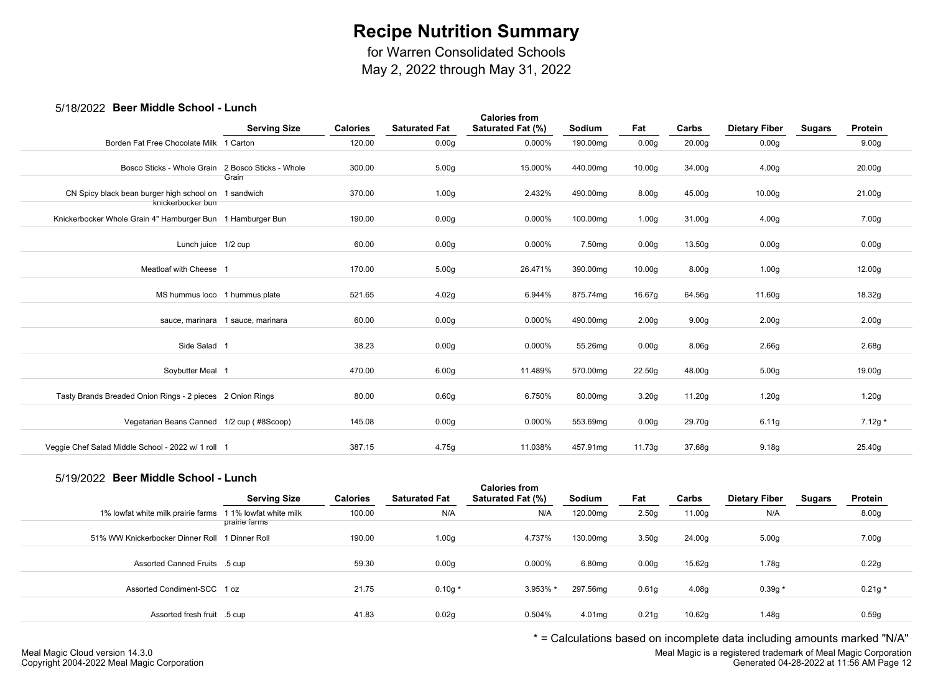for Warren Consolidated Schools

May 2, 2022 through May 31, 2022

## 5/18/2022 **Beer Middle School - Lunch**

| <b>POUL INIQUID OUILOUI</b>                                               |                                   |                 |                      |                                           |                    |                    |                    |                      |               |                    |
|---------------------------------------------------------------------------|-----------------------------------|-----------------|----------------------|-------------------------------------------|--------------------|--------------------|--------------------|----------------------|---------------|--------------------|
|                                                                           | <b>Serving Size</b>               | <b>Calories</b> | <b>Saturated Fat</b> | <b>Calories from</b><br>Saturated Fat (%) | Sodium             | Fat                | Carbs              | <b>Dietary Fiber</b> | <b>Sugars</b> | Protein            |
| Borden Fat Free Chocolate Milk 1 Carton                                   |                                   | 120.00          | 0.00 <sub>g</sub>    | 0.000%                                    | 190.00mg           | 0.00 <sub>g</sub>  | 20.00 <sub>g</sub> | 0.00 <sub>g</sub>    |               | 9.00 <sub>g</sub>  |
| Bosco Sticks - Whole Grain                                                | 2 Bosco Sticks - Whole<br>Grain   | 300.00          | 5.00 <sub>g</sub>    | 15.000%                                   | 440.00mg           | 10.00g             | 34.00g             | 4.00 <sub>g</sub>    |               | 20.00 <sub>g</sub> |
| CN Spicy black bean burger high school on 1 sandwich<br>knickerbocker bun |                                   | 370.00          | 1.00 <sub>g</sub>    | 2.432%                                    | 490.00mg           | 8.00 <sub>g</sub>  | 45.00g             | 10.00 <sub>g</sub>   |               | 21.00g             |
| Knickerbocker Whole Grain 4" Hamburger Bun 1 Hamburger Bun                |                                   | 190.00          | 0.00 <sub>g</sub>    | 0.000%                                    | 100.00mg           | 1.00 <sub>g</sub>  | 31.00g             | 4.00 <sub>g</sub>    |               | 7.00g              |
| Lunch juice 1/2 cup                                                       |                                   | 60.00           | 0.00 <sub>g</sub>    | 0.000%                                    | 7.50 <sub>mg</sub> | 0.00 <sub>g</sub>  | 13.50g             | 0.00 <sub>g</sub>    |               | 0.00 <sub>g</sub>  |
| Meatloaf with Cheese 1                                                    |                                   | 170.00          | 5.00 <sub>g</sub>    | 26.471%                                   | 390.00mg           | 10.00 <sub>g</sub> | 8.00 <sub>g</sub>  | 1.00 <sub>g</sub>    |               | 12.00g             |
| MS hummus loco 1 hummus plate                                             |                                   | 521.65          | 4.02g                | 6.944%                                    | 875.74mg           | 16.67g             | 64.56g             | 11.60g               |               | 18.32g             |
|                                                                           | sauce, marinara 1 sauce, marinara | 60.00           | 0.00 <sub>g</sub>    | 0.000%                                    | 490.00mg           | 2.00 <sub>g</sub>  | 9.00 <sub>g</sub>  | 2.00 <sub>g</sub>    |               | 2.00 <sub>g</sub>  |
| Side Salad 1                                                              |                                   | 38.23           | 0.00 <sub>g</sub>    | 0.000%                                    | 55.26mg            | 0.00 <sub>g</sub>  | 8.06g              | 2.66 <sub>g</sub>    |               | 2.68g              |
| Soybutter Meal 1                                                          |                                   | 470.00          | 6.00 <sub>g</sub>    | 11.489%                                   | 570.00mg           | 22.50g             | 48.00g             | 5.00 <sub>g</sub>    |               | 19.00g             |
| Tasty Brands Breaded Onion Rings - 2 pieces 2 Onion Rings                 |                                   | 80.00           | 0.60 <sub>g</sub>    | 6.750%                                    | 80.00mg            | 3.20 <sub>g</sub>  | 11.20g             | 1.20 <sub>g</sub>    |               | 1.20g              |
| Vegetarian Beans Canned 1/2 cup (#8Scoop)                                 |                                   | 145.08          | 0.00 <sub>g</sub>    | 0.000%                                    | 553.69mg           | 0.00 <sub>g</sub>  | 29.70g             | 6.11g                |               | $7.12g *$          |
| Veggie Chef Salad Middle School - 2022 w/ 1 roll 1                        |                                   | 387.15          | 4.75g                | 11.038%                                   | 457.91mg           | 11.73g             | 37.68g             | 9.18 <sub>g</sub>    |               | 25.40g             |
|                                                                           |                                   |                 |                      |                                           |                    |                    |                    |                      |               |                    |

## 5/19/2022 **Beer Middle School - Lunch**

| <u>ULIULA DUULINIUUD OUIIUUI LUIIUII</u> |                        |                 |                      | <b>Calories from</b> |          |                   |                   |                      |        |                   |  |
|------------------------------------------|------------------------|-----------------|----------------------|----------------------|----------|-------------------|-------------------|----------------------|--------|-------------------|--|
|                                          | <b>Serving Size</b>    | <b>Calories</b> | <b>Saturated Fat</b> | Saturated Fat (%)    | Sodium   | Fat               | Carbs             | <b>Dietary Fiber</b> | Sugars | Protein           |  |
| 1% lowfat white milk prairie farms       | 1 1% lowfat white milk | 100.00          | N/A                  | N/A                  | 120.00mg | 2.50 <sub>g</sub> | 11.00g            | N/A                  |        | 8.00 <sub>g</sub> |  |
|                                          | prairie farms          |                 |                      |                      |          |                   |                   |                      |        |                   |  |
| 51% WW Knickerbocker Dinner Roll         | 1 Dinner Roll          | 190.00          | 1.00 <sub>g</sub>    | 4.737%               | 130.00mg | 3.50 <sub>g</sub> | 24.00g            | 5.00 <sub>g</sub>    |        | 7.00g             |  |
|                                          |                        |                 |                      |                      |          |                   |                   |                      |        |                   |  |
| Assorted Canned Fruits .5 cup            |                        | 59.30           | 0.00 <sub>g</sub>    | 0.000%               | 6.80mg   | 0.00 <sub>g</sub> | 15.62g            | 1.78g                |        | 0.22g             |  |
|                                          |                        |                 |                      |                      |          |                   |                   |                      |        |                   |  |
| Assorted Condiment-SCC 1 oz              |                        | 21.75           | $0.10g*$             | 3.953% *             | 297.56mg | 0.61 <sub>g</sub> | 4.08 <sub>g</sub> | $0.39g *$            |        | $0.21g *$         |  |
|                                          |                        |                 |                      |                      |          |                   |                   |                      |        |                   |  |
| Assorted fresh fruit .5 cup              |                        | 41.83           | 0.02g                | 0.504%               | 4.01mg   | 0.21 <sub>g</sub> | 10.62g            | 1.48g                |        | 0.59g             |  |
|                                          |                        |                 |                      |                      |          |                   |                   |                      |        |                   |  |

\* = Calculations based on incomplete data including amounts marked "N/A"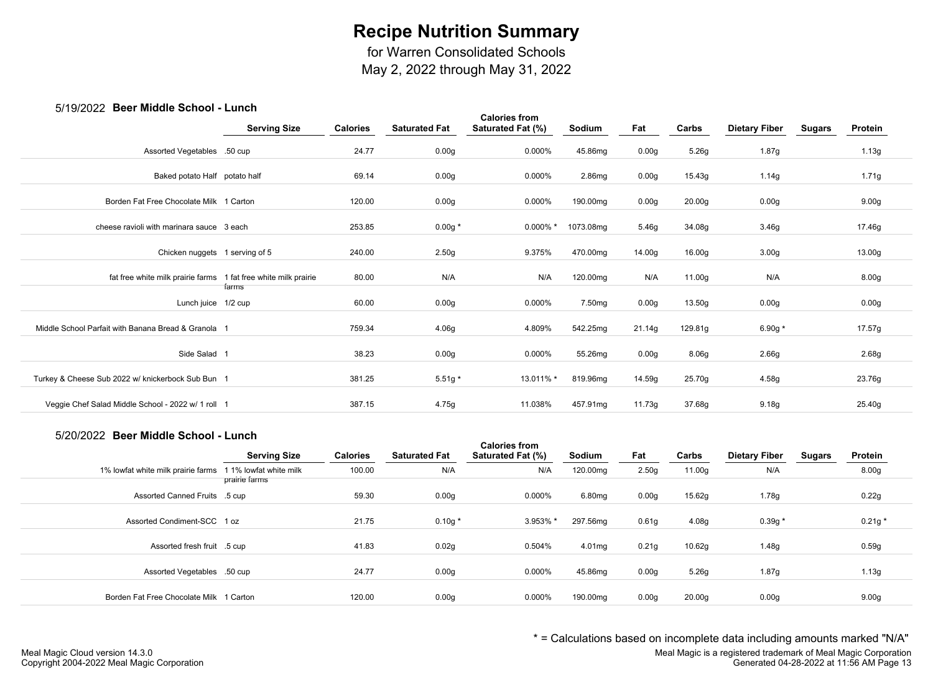for Warren Consolidated Schools

May 2, 2022 through May 31, 2022

### 5/19/2022 **Beer Middle School - Lunch**

| 00 IUILULL DUUI IIIIUUIU OUIIUUI                                | -----               |                 |                      |                                           |           |                   |         |                      |               |                   |  |
|-----------------------------------------------------------------|---------------------|-----------------|----------------------|-------------------------------------------|-----------|-------------------|---------|----------------------|---------------|-------------------|--|
|                                                                 | <b>Serving Size</b> | <b>Calories</b> | <b>Saturated Fat</b> | <b>Calories from</b><br>Saturated Fat (%) | Sodium    | Fat               | Carbs   | <b>Dietary Fiber</b> | <b>Sugars</b> | Protein           |  |
| Assorted Vegetables .50 cup                                     |                     | 24.77           | 0.00 <sub>g</sub>    | 0.000%                                    | 45.86mg   | 0.00 <sub>g</sub> | 5.26g   | 1.87g                |               | 1.13g             |  |
| Baked potato Half potato half                                   |                     | 69.14           | 0.00 <sub>g</sub>    | 0.000%                                    | 2.86mg    | 0.00 <sub>g</sub> | 15.43g  | 1.14g                |               | 1.71g             |  |
| Borden Fat Free Chocolate Milk 1 Carton                         |                     | 120.00          | 0.00 <sub>g</sub>    | 0.000%                                    | 190.00mg  | 0.00g             | 20.00g  | 0.00g                |               | 9.00 <sub>g</sub> |  |
| cheese ravioli with marinara sauce 3 each                       |                     | 253.85          | $0.00g *$            | $0.000\%$ *                               | 1073.08mg | 5.46g             | 34.08g  | 3.46g                |               | 17.46g            |  |
| Chicken nuggets 1 serving of 5                                  |                     | 240.00          | 2.50g                | 9.375%                                    | 470.00mg  | 14.00g            | 16.00g  | 3.00 <sub>g</sub>    |               | 13.00g            |  |
| fat free white milk prairie farms 1 fat free white milk prairie |                     | 80.00           | N/A                  | N/A                                       | 120.00mg  | N/A               | 11.00g  | N/A                  |               | 8.00g             |  |
| Lunch juice 1/2 cup                                             | farms               | 60.00           | 0.00 <sub>g</sub>    | 0.000%                                    | 7.50mg    | 0.00 <sub>g</sub> | 13.50g  | 0.00 <sub>g</sub>    |               | 0.00g             |  |
| Middle School Parfait with Banana Bread & Granola 1             |                     | 759.34          | 4.06g                | 4.809%                                    | 542.25mg  | 21.14g            | 129.81g | 6.90g $*$            |               | 17.57g            |  |
| Side Salad 1                                                    |                     | 38.23           | 0.00g                | 0.000%                                    | 55.26mg   | 0.00 <sub>g</sub> | 8.06g   | 2.66g                |               | 2.68g             |  |
| Turkey & Cheese Sub 2022 w/ knickerbock Sub Bun 1               |                     | 381.25          | $5.51g*$             | 13.011% *                                 | 819.96mg  | 14.59g            | 25.70g  | 4.58g                |               | 23.76g            |  |
| Veggie Chef Salad Middle School - 2022 w/ 1 roll 1              |                     | 387.15          | 4.75g                | 11.038%                                   | 457.91mg  | 11.73g            | 37.68g  | 9.18g                |               | 25.40g            |  |
|                                                                 |                     |                 |                      |                                           |           |                   |         |                      |               |                   |  |

#### 5/20/2022 **Beer Middle School - Lunch**

|                                         | <b>Serving Size</b>                     | <b>Calories</b> | <b>Saturated Fat</b> | <b>Calories from</b><br><b>Saturated Fat (%)</b> | Sodium   | Fat               | Carbs              | <b>Dietary Fiber</b> | <b>Sugars</b> | Protein           |
|-----------------------------------------|-----------------------------------------|-----------------|----------------------|--------------------------------------------------|----------|-------------------|--------------------|----------------------|---------------|-------------------|
| 1% lowfat white milk prairie farms      | 1 1% lowfat white milk<br>prairie farms | 100.00          | N/A                  | N/A                                              | 120.00mg | 2.50 <sub>g</sub> | 11.00g             | N/A                  |               | 8.00 <sub>g</sub> |
| Assorted Canned Fruits .5 cup           |                                         | 59.30           | 0.00 <sub>g</sub>    | 0.000%                                           | 6.80mg   | 0.00 <sub>g</sub> | 15.62g             | 1.78g                |               | 0.22g             |
| Assorted Condiment-SCC 1 oz             |                                         | 21.75           | $0.10g *$            | 3.953% *                                         | 297.56mg | 0.61 <sub>g</sub> | 4.08g              | $0.39g *$            |               | $0.21g *$         |
| Assorted fresh fruit .5 cup             |                                         | 41.83           | 0.02g                | 0.504%                                           | 4.01mg   | 0.21 <sub>g</sub> | 10.62g             | 1.48g                |               | 0.59g             |
| Assorted Vegetables .50 cup             |                                         | 24.77           | 0.00 <sub>g</sub>    | 0.000%                                           | 45.86mg  | 0.00 <sub>g</sub> | 5.26g              | 1.87g                |               | 1.13g             |
| Borden Fat Free Chocolate Milk 1 Carton |                                         | 120.00          | 0.00g                | 0.000%                                           | 190.00mg | 0.00 <sub>g</sub> | 20.00 <sub>g</sub> | 0.00 <sub>g</sub>    |               | 9.00 <sub>g</sub> |

\* = Calculations based on incomplete data including amounts marked "N/A"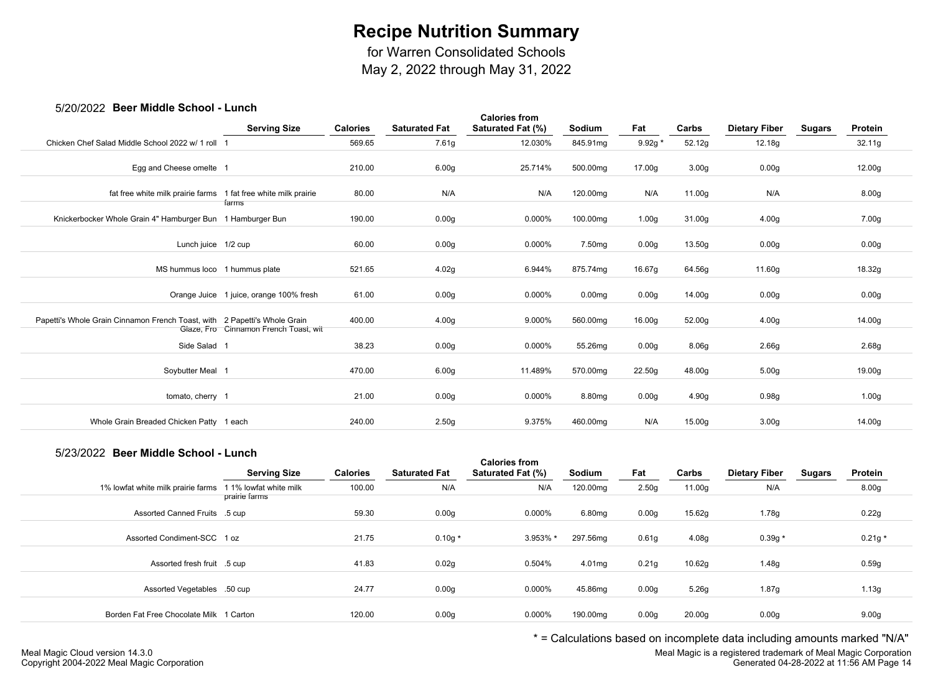for Warren Consolidated Schools

May 2, 2022 through May 31, 2022

### 5/20/2022 **Beer Middle School - Lunch**

| <b>POUL INIQUID OUILOUI</b>                                               | -----                                   |                 |                      |                                           |                    |           |                   |                      |        |                   |
|---------------------------------------------------------------------------|-----------------------------------------|-----------------|----------------------|-------------------------------------------|--------------------|-----------|-------------------|----------------------|--------|-------------------|
|                                                                           | <b>Serving Size</b>                     | <b>Calories</b> | <b>Saturated Fat</b> | <b>Calories from</b><br>Saturated Fat (%) | Sodium             | Fat       | Carbs             | <b>Dietary Fiber</b> | Sugars | Protein           |
| Chicken Chef Salad Middle School 2022 w/ 1 roll                           |                                         | 569.65          | 7.61g                | 12.030%                                   | 845.91mg           | $9.92g *$ | 52.12g            | 12.18g               |        | 32.11g            |
| Egg and Cheese omelte 1                                                   |                                         | 210.00          | 6.00 <sub>g</sub>    | 25.714%                                   | 500.00mg           | 17.00g    | 3.00 <sub>g</sub> | 0.00g                |        | 12.00g            |
| fat free white milk prairie farms 1 fat free white milk prairie           | farms                                   | 80.00           | N/A                  | N/A                                       | 120.00mg           | N/A       | 11.00g            | N/A                  |        | 8.00 <sub>g</sub> |
| Knickerbocker Whole Grain 4" Hamburger Bun 1 Hamburger Bun                |                                         | 190.00          | 0.00 <sub>g</sub>    | 0.000%                                    | 100.00mg           | 1.00g     | 31.00g            | 4.00 <sub>g</sub>    |        | 7.00g             |
| Lunch juice 1/2 cup                                                       |                                         | 60.00           | 0.00 <sub>g</sub>    | 0.000%                                    | 7.50mg             | 0.00g     | 13.50g            | 0.00 <sub>g</sub>    |        | 0.00g             |
| MS hummus loco 1 hummus plate                                             |                                         | 521.65          | 4.02g                | 6.944%                                    | 875.74mg           | 16.67g    | 64.56g            | 11.60g               |        | 18.32g            |
|                                                                           | Orange Juice 1 juice, orange 100% fresh | 61.00           | 0.00 <sub>g</sub>    | 0.000%                                    | 0.00 <sub>mg</sub> | 0.00g     | 14.00g            | 0.00g                |        | 0.00g             |
| Papetti's Whole Grain Cinnamon French Toast, with 2 Papetti's Whole Grain | Glaze, Fro Cinnamon French Toast, wit   | 400.00          | 4.00 <sub>g</sub>    | 9.000%                                    | 560.00mg           | 16.00g    | 52.00g            | 4.00 <sub>g</sub>    |        | 14.00g            |
| Side Salad 1                                                              |                                         | 38.23           | 0.00 <sub>g</sub>    | 0.000%                                    | 55.26mg            | 0.00g     | 8.06g             | 2.66g                |        | 2.68g             |
| Soybutter Meal 1                                                          |                                         | 470.00          | 6.00 <sub>g</sub>    | 11.489%                                   | 570.00mg           | 22.50g    | 48.00g            | 5.00 <sub>g</sub>    |        | 19.00g            |
| tomato, cherry 1                                                          |                                         | 21.00           | 0.00 <sub>g</sub>    | 0.000%                                    | 8.80mg             | 0.00g     | 4.90g             | 0.98g                |        | 1.00g             |
| Whole Grain Breaded Chicken Patty 1 each                                  |                                         | 240.00          | 2.50 <sub>g</sub>    | 9.375%                                    | 460.00mg           | N/A       | 15.00g            | 3.00 <sub>g</sub>    |        | 14.00g            |

#### 5/23/2022 **Beer Middle School - Lunch**

|                                         | <b>Serving Size</b>                     | <b>Calories</b> | <b>Saturated Fat</b> | <b>Calories from</b><br>Saturated Fat (%) | Sodium   | Fat               | Carbs              | <b>Dietary Fiber</b> | Sugars | Protein           |  |
|-----------------------------------------|-----------------------------------------|-----------------|----------------------|-------------------------------------------|----------|-------------------|--------------------|----------------------|--------|-------------------|--|
| 1% lowfat white milk prairie farms      | 1 1% lowfat white milk<br>prairie farms | 100.00          | N/A                  | N/A                                       | 120.00mg | 2.50 <sub>g</sub> | 11.00g             | N/A                  |        | 8.00 <sub>g</sub> |  |
| Assorted Canned Fruits .5 cup           |                                         | 59.30           | 0.00 <sub>g</sub>    | 0.000%                                    | 6.80mg   | 0.00 <sub>g</sub> | 15.62g             | 1.78g                |        | 0.22g             |  |
| Assorted Condiment-SCC 1 oz             |                                         | 21.75           | $0.10g*$             | 3.953% *                                  | 297.56mg | 0.61 <sub>g</sub> | 4.08 <sub>g</sub>  | $0.39g *$            |        | $0.21g *$         |  |
| Assorted fresh fruit .5 cup             |                                         | 41.83           | 0.02g                | 0.504%                                    | 4.01mg   | 0.21g             | 10.62g             | 1.48g                |        | 0.59g             |  |
| Assorted Vegetables .50 cup             |                                         | 24.77           | 0.00 <sub>g</sub>    | $0.000\%$                                 | 45.86mg  | 0.00 <sub>g</sub> | 5.26g              | 1.87g                |        | 1.13g             |  |
| Borden Fat Free Chocolate Milk 1 Carton |                                         | 120.00          | 0.00 <sub>g</sub>    | 0.000%                                    | 190.00mg | 0.00 <sub>g</sub> | 20.00 <sub>g</sub> | 0.00 <sub>g</sub>    |        | 9.00 <sub>g</sub> |  |

\* = Calculations based on incomplete data including amounts marked "N/A"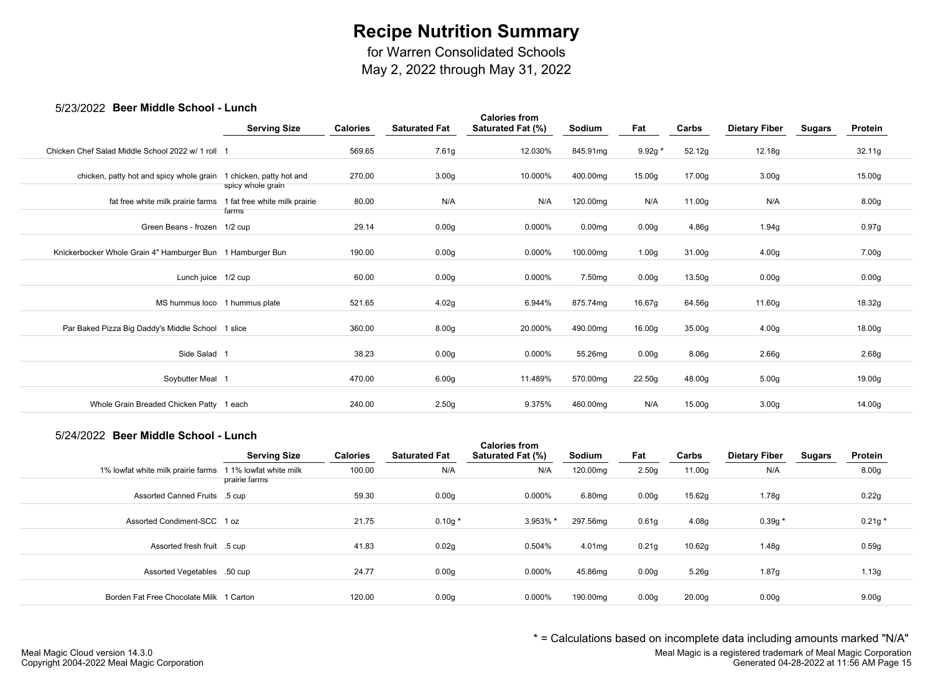for Warren Consolidated Schools

May 2, 2022 through May 31, 2022

#### 5/23/2022 **Beer Middle School - Lunch**

| <i><b>UILUILULE DUUI INIUUIU OUIIOUI</b></i>               |                                               |                 |                      |                                           |                    |                    |        |                      |               |                   |  |
|------------------------------------------------------------|-----------------------------------------------|-----------------|----------------------|-------------------------------------------|--------------------|--------------------|--------|----------------------|---------------|-------------------|--|
|                                                            | <b>Serving Size</b>                           | <b>Calories</b> | <b>Saturated Fat</b> | <b>Calories from</b><br>Saturated Fat (%) | Sodium             | Fat                | Carbs  | <b>Dietary Fiber</b> | <b>Sugars</b> | Protein           |  |
| Chicken Chef Salad Middle School 2022 w/ 1 roll 1          |                                               | 569.65          | 7.61g                | 12.030%                                   | 845.91mg           | $9.92g *$          | 52.12g | 12.18g               |               | 32.11g            |  |
| chicken, patty hot and spicy whole grain                   | 1 chicken, patty hot and<br>spicy whole grain | 270.00          | 3.00 <sub>g</sub>    | 10.000%                                   | 400.00mg           | 15.00 <sub>g</sub> | 17.00g | 3.00 <sub>g</sub>    |               | 15.00g            |  |
| fat free white milk prairie farms                          | 1 fat free white milk prairie<br>farms        | 80.00           | N/A                  | N/A                                       | 120.00mg           | N/A                | 11.00g | N/A                  |               | 8.00 <sub>g</sub> |  |
| Green Beans - frozen 1/2 cup                               |                                               | 29.14           | 0.00 <sub>g</sub>    | 0.000%                                    | 0.00 <sub>mg</sub> | 0.00 <sub>g</sub>  | 4.86g  | 1.94g                |               | 0.97g             |  |
| Knickerbocker Whole Grain 4" Hamburger Bun 1 Hamburger Bun |                                               | 190.00          | 0.00 <sub>g</sub>    | 0.000%                                    | 100.00mg           | 1.00 <sub>g</sub>  | 31.00g | 4.00 <sub>g</sub>    |               | 7.00g             |  |
| Lunch juice 1/2 cup                                        |                                               | 60.00           | 0.00g                | 0.000%                                    | 7.50 <sub>mg</sub> | 0.00 <sub>g</sub>  | 13.50g | 0.00g                |               | 0.00g             |  |
| MS hummus loco 1 hummus plate                              |                                               | 521.65          | 4.02g                | 6.944%                                    | 875.74mg           | 16.67g             | 64.56g | 11.60g               |               | 18.32g            |  |
| Par Baked Pizza Big Daddy's Middle School 1 slice          |                                               | 360.00          | 8.00 <sub>g</sub>    | 20.000%                                   | 490.00mg           | 16.00 <sub>g</sub> | 35.00g | 4.00 <sub>g</sub>    |               | 18.00g            |  |
| Side Salad 1                                               |                                               | 38.23           | 0.00 <sub>g</sub>    | $0.000\%$                                 | 55.26mg            | 0.00 <sub>g</sub>  | 8.06g  | 2.66g                |               | 2.68g             |  |
| Soybutter Meal 1                                           |                                               | 470.00          | 6.00 <sub>g</sub>    | 11.489%                                   | 570.00mg           | 22.50g             | 48.00g | 5.00 <sub>g</sub>    |               | 19.00g            |  |
| Whole Grain Breaded Chicken Patty 1 each                   |                                               | 240.00          | 2.50g                | 9.375%                                    | 460.00mg           | N/A                | 15.00g | 3.00 <sub>g</sub>    |               | 14.00g            |  |
|                                                            |                                               |                 |                      |                                           |                    |                    |        |                      |               |                   |  |

#### 5/24/2022 **Beer Middle School - Lunch**

|                                         | <b>Serving Size</b>                     | <b>Calories</b> | <b>Saturated Fat</b> | <b>Calories from</b><br>Saturated Fat (%) | Sodium   | Fat               | Carbs              | <b>Dietary Fiber</b> | Sugars | Protein           |
|-----------------------------------------|-----------------------------------------|-----------------|----------------------|-------------------------------------------|----------|-------------------|--------------------|----------------------|--------|-------------------|
| 1% lowfat white milk prairie farms      | 1 1% lowfat white milk<br>prairie farms | 100.00          | N/A                  | N/A                                       | 120.00mg | 2.50 <sub>g</sub> | 11.00g             | N/A                  |        | 8.00 <sub>g</sub> |
| Assorted Canned Fruits .5 cup           |                                         | 59.30           | 0.00 <sub>g</sub>    | 0.000%                                    | 6.80mg   | 0.00 <sub>g</sub> | 15.62g             | 1.78g                |        | 0.22g             |
| Assorted Condiment-SCC 1 oz             |                                         | 21.75           | $0.10g*$             | 3.953% *                                  | 297.56mg | 0.61 <sub>g</sub> | 4.08 <sub>g</sub>  | $0.39g *$            |        | $0.21g *$         |
| Assorted fresh fruit .5 cup             |                                         | 41.83           | 0.02g                | 0.504%                                    | 4.01mg   | 0.21g             | 10.62g             | 1.48g                |        | 0.59g             |
| Assorted Vegetables .50 cup             |                                         | 24.77           | 0.00 <sub>g</sub>    | 0.000%                                    | 45.86mg  | 0.00 <sub>g</sub> | 5.26g              | 1.87g                |        | 1.13g             |
| Borden Fat Free Chocolate Milk 1 Carton |                                         | 120.00          | 0.00 <sub>g</sub>    | 0.000%                                    | 190.00mg | 0.00 <sub>g</sub> | 20.00 <sub>g</sub> | 0.00 <sub>g</sub>    |        | 9.00 <sub>g</sub> |

\* = Calculations based on incomplete data including amounts marked "N/A"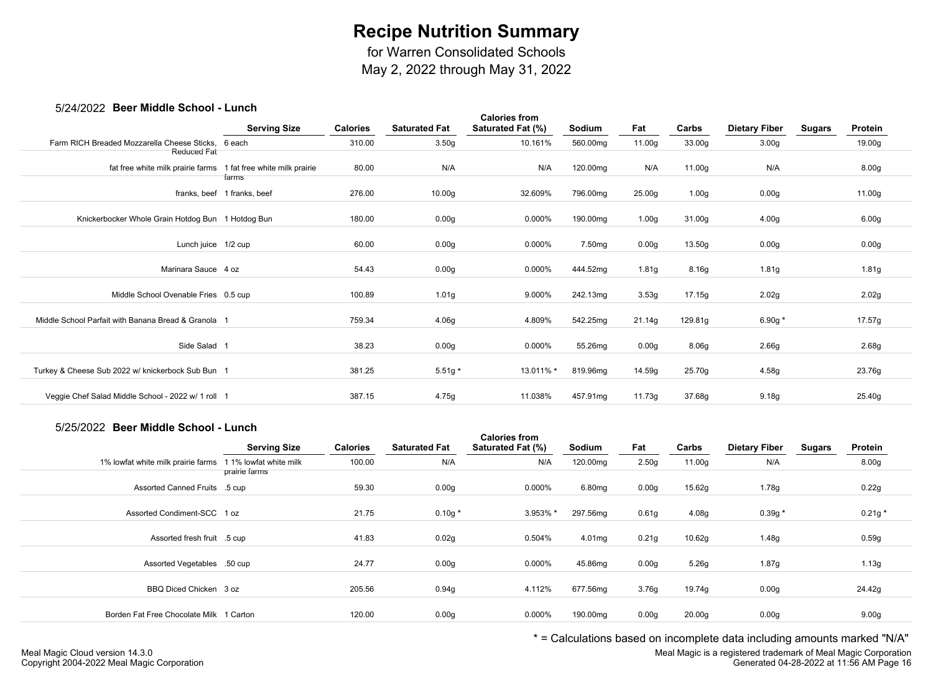for Warren Consolidated Schools

May 2, 2022 through May 31, 2022

### 5/24/2022 **Beer Middle School - Lunch**

|                                                     | <b>Serving Size</b>                  | <b>Calories</b> | <b>Saturated Fat</b> | <b>Calories from</b><br>Saturated Fat (%) | Sodium   | Fat               | Carbs             | <b>Dietary Fiber</b> | <b>Sugars</b> | Protein |
|-----------------------------------------------------|--------------------------------------|-----------------|----------------------|-------------------------------------------|----------|-------------------|-------------------|----------------------|---------------|---------|
| Farm RICH Breaded Mozzarella Cheese Sticks.         | 6 each                               | 310.00          | 3.50 <sub>g</sub>    | 10.161%                                   | 560.00mg | 11.00g            | 33.00g            | 3.00 <sub>g</sub>    |               | 19.00g  |
| Reduced Fat<br>fat free white milk prairie farms    | 1 fat free white milk prairie        | 80.00           | N/A                  | N/A                                       | 120.00mg | N/A               | 11.00g            | N/A                  |               | 8.00g   |
|                                                     | farms<br>franks, beef 1 franks, beef | 276.00          | 10.00g               | 32.609%                                   | 796.00mg | 25.00g            | 1.00 <sub>g</sub> | 0.00 <sub>g</sub>    |               | 11.00g  |
| Knickerbocker Whole Grain Hotdog Bun 1 Hotdog Bun   |                                      | 180.00          | 0.00 <sub>g</sub>    | 0.000%                                    | 190.00mg | 1.00 <sub>g</sub> | 31.00g            | 4.00g                |               | 6.00g   |
| Lunch juice 1/2 cup                                 |                                      | 60.00           | 0.00g                | 0.000%                                    | 7.50mg   | 0.00g             | 13.50g            | 0.00g                |               | 0.00g   |
| Marinara Sauce 4 oz                                 |                                      | 54.43           | 0.00 <sub>g</sub>    | 0.000%                                    | 444.52mg | 1.81 <sub>g</sub> | 8.16g             | 1.81g                |               | 1.81g   |
| Middle School Ovenable Fries 0.5 cup                |                                      | 100.89          | 1.01 <sub>g</sub>    | 9.000%                                    | 242.13mg | 3.53g             | 17.15g            | 2.02g                |               | 2.02g   |
| Middle School Parfait with Banana Bread & Granola 1 |                                      | 759.34          | 4.06g                | 4.809%                                    | 542.25mg | 21.14g            | 129.81g           | 6.90g $*$            |               | 17.57g  |
| Side Salad 1                                        |                                      | 38.23           | 0.00g                | 0.000%                                    | 55.26mg  | 0.00g             | 8.06g             | 2.66g                |               | 2.68g   |
| Turkey & Cheese Sub 2022 w/ knickerbock Sub Bun 1   |                                      | 381.25          | $5.51g*$             | 13.011% *                                 | 819.96mg | 14.59g            | 25.70g            | 4.58g                |               | 23.76g  |
| Veggie Chef Salad Middle School - 2022 w/ 1 roll 1  |                                      | 387.15          | 4.75g                | 11.038%                                   | 457.91mg | 11.73g            | 37.68g            | 9.18g                |               | 25.40g  |
|                                                     |                                      |                 |                      |                                           |          |                   |                   |                      |               |         |

### 5/25/2022 **Beer Middle School - Lunch**

|                                         | <b>Serving Size</b>                     | <b>Calories</b> | <b>Saturated Fat</b> | <b>Calories from</b><br><b>Saturated Fat (%)</b> | Sodium   | Fat               | Carbs  | <b>Dietary Fiber</b> | <b>Sugars</b> | Protein           |  |
|-----------------------------------------|-----------------------------------------|-----------------|----------------------|--------------------------------------------------|----------|-------------------|--------|----------------------|---------------|-------------------|--|
| 1% lowfat white milk prairie farms      | 1 1% lowfat white milk<br>prairie farms | 100.00          | N/A                  | N/A                                              | 120.00mg | 2.50 <sub>g</sub> | 11.00g | N/A                  |               | 8.00 <sub>g</sub> |  |
| Assorted Canned Fruits .5 cup           |                                         | 59.30           | 0.00g                | 0.000%                                           | 6.80mg   | 0.00 <sub>g</sub> | 15.62g | 1.78g                |               | 0.22g             |  |
| Assorted Condiment-SCC 1 oz             |                                         | 21.75           | $0.10g *$            | 3.953% *                                         | 297.56mg | 0.61g             | 4.08g  | $0.39g *$            |               | $0.21g *$         |  |
| Assorted fresh fruit .5 cup             |                                         | 41.83           | 0.02g                | 0.504%                                           | 4.01mg   | 0.21g             | 10.62g | 1.48g                |               | 0.59g             |  |
| Assorted Vegetables .50 cup             |                                         | 24.77           | 0.00 <sub>g</sub>    | 0.000%                                           | 45.86mg  | 0.00g             | 5.26g  | 1.87g                |               | 1.13g             |  |
| BBQ Diced Chicken 3 oz                  |                                         | 205.56          | 0.94g                | 4.112%                                           | 677.56mg | 3.76g             | 19.74g | 0.00 <sub>g</sub>    |               | 24.42g            |  |
| Borden Fat Free Chocolate Milk 1 Carton |                                         | 120.00          | 0.00 <sub>g</sub>    | 0.000%                                           | 190.00mg | 0.00g             | 20.00g | 0.00 <sub>g</sub>    |               | 9.00 <sub>g</sub> |  |
|                                         |                                         |                 |                      |                                                  |          |                   |        |                      |               |                   |  |

\* = Calculations based on incomplete data including amounts marked "N/A"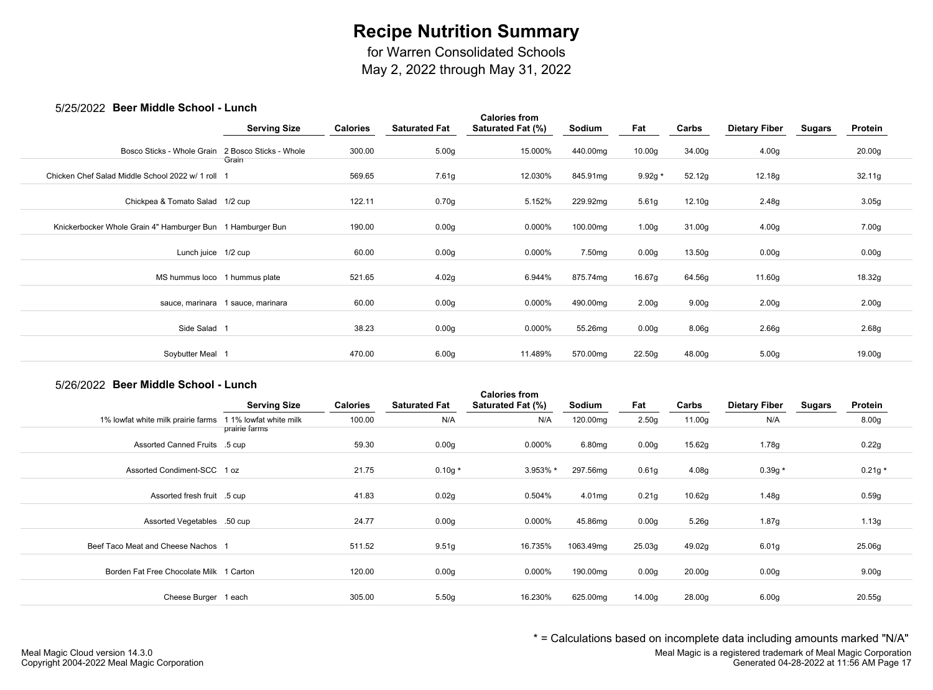for Warren Consolidated Schools

May 2, 2022 through May 31, 2022

## 5/25/2022 **Beer Middle School - Lunch**

| <i>ULUILULL</i> DUUI MIUUIU OUIIUUI                        | ------<br><b>Serving Size</b>     | <b>Calories</b> | <b>Saturated Fat</b> | <b>Calories from</b><br>Saturated Fat (%) | Sodium             | Fat               | Carbs             | <b>Dietary Fiber</b> | <b>Sugars</b> | Protein           |  |
|------------------------------------------------------------|-----------------------------------|-----------------|----------------------|-------------------------------------------|--------------------|-------------------|-------------------|----------------------|---------------|-------------------|--|
| Bosco Sticks - Whole Grain                                 | 2 Bosco Sticks - Whole<br>Grain   | 300.00          | 5.00 <sub>g</sub>    | 15.000%                                   | 440.00mg           | 10.00g            | 34.00g            | 4.00 <sub>g</sub>    |               | 20.00g            |  |
| Chicken Chef Salad Middle School 2022 w/ 1 roll            |                                   | 569.65          | 7.61g                | 12.030%                                   | 845.91mg           | $9.92g *$         | 52.12g            | 12.18g               |               | 32.11g            |  |
| Chickpea & Tomato Salad 1/2 cup                            |                                   | 122.11          | 0.70g                | 5.152%                                    | 229.92mg           | 5.61g             | 12.10g            | 2.48g                |               | 3.05g             |  |
| Knickerbocker Whole Grain 4" Hamburger Bun 1 Hamburger Bun |                                   | 190.00          | 0.00 <sub>g</sub>    | 0.000%                                    | 100.00mg           | 1.00 <sub>g</sub> | 31.00g            | 4.00 <sub>g</sub>    |               | 7.00g             |  |
| Lunch juice 1/2 cup                                        |                                   | 60.00           | 0.00 <sub>g</sub>    | 0.000%                                    | 7.50 <sub>mg</sub> | 0.00 <sub>g</sub> | 13.50g            | 0.00 <sub>g</sub>    |               | 0.00 <sub>g</sub> |  |
| MS hummus loco 1 hummus plate                              |                                   | 521.65          | 4.02g                | 6.944%                                    | 875.74mg           | 16.67g            | 64.56g            | 11.60g               |               | 18.32g            |  |
|                                                            | sauce, marinara 1 sauce, marinara | 60.00           | 0.00 <sub>g</sub>    | 0.000%                                    | 490.00mg           | 2.00 <sub>g</sub> | 9.00 <sub>g</sub> | 2.00 <sub>g</sub>    |               | 2.00 <sub>g</sub> |  |
| Side Salad 1                                               |                                   | 38.23           | 0.00 <sub>g</sub>    | 0.000%                                    | 55.26mg            | 0.00 <sub>g</sub> | 8.06g             | 2.66 <sub>g</sub>    |               | 2.68g             |  |
| Soybutter Meal 1                                           |                                   | 470.00          | 6.00 <sub>g</sub>    | 11.489%                                   | 570.00mg           | 22.50g            | 48.00g            | 5.00 <sub>g</sub>    |               | 19.00g            |  |
|                                                            |                                   |                 |                      |                                           |                    |                   |                   |                      |               |                   |  |

#### 5/26/2022 **Beer Middle School - Lunch**

|                                         | <b>Serving Size</b>                     | <b>Calories</b> | <b>Saturated Fat</b> | <b>Calories from</b><br>Saturated Fat (%) | Sodium    | Fat               | Carbs              | <b>Dietary Fiber</b> | <b>Sugars</b> | Protein           |
|-----------------------------------------|-----------------------------------------|-----------------|----------------------|-------------------------------------------|-----------|-------------------|--------------------|----------------------|---------------|-------------------|
| 1% lowfat white milk prairie farms      | 1 1% lowfat white milk<br>prairie farms | 100.00          | N/A                  | N/A                                       | 120.00mg  | 2.50g             | 11.00g             | N/A                  |               | 8.00 <sub>g</sub> |
| Assorted Canned Fruits .5 cup           |                                         | 59.30           | 0.00 <sub>g</sub>    | $0.000\%$                                 | 6.80mg    | 0.00 <sub>g</sub> | 15.62g             | 1.78g                |               | 0.22g             |
| Assorted Condiment-SCC 1 oz             |                                         | 21.75           | $0.10g*$             | 3.953% *                                  | 297.56mg  | 0.61 <sub>g</sub> | 4.08g              | $0.39g *$            |               | $0.21g *$         |
| Assorted fresh fruit .5 cup             |                                         | 41.83           | 0.02g                | 0.504%                                    | 4.01mg    | 0.21g             | 10.62q             | 1.48g                |               | 0.59g             |
| Assorted Vegetables .50 cup             |                                         | 24.77           | 0.00 <sub>g</sub>    | $0.000\%$                                 | 45.86mg   | 0.00 <sub>g</sub> | 5.26g              | 1.87g                |               | 1.13g             |
| Beef Taco Meat and Cheese Nachos        |                                         | 511.52          | 9.51g                | 16.735%                                   | 1063.49mg | 25.03g            | 49.02g             | 6.01g                |               | 25.06g            |
| Borden Fat Free Chocolate Milk 1 Carton |                                         | 120.00          | 0.00 <sub>g</sub>    | 0.000%                                    | 190.00mg  | 0.00g             | 20.00 <sub>g</sub> | 0.00g                |               | 9.00 <sub>g</sub> |
| Cheese Burger 1 each                    |                                         | 305.00          | 5.50g                | 16.230%                                   | 625.00mg  | 14.00g            | 28.00g             | 6.00 <sub>g</sub>    |               | 20.55g            |

\* = Calculations based on incomplete data including amounts marked "N/A"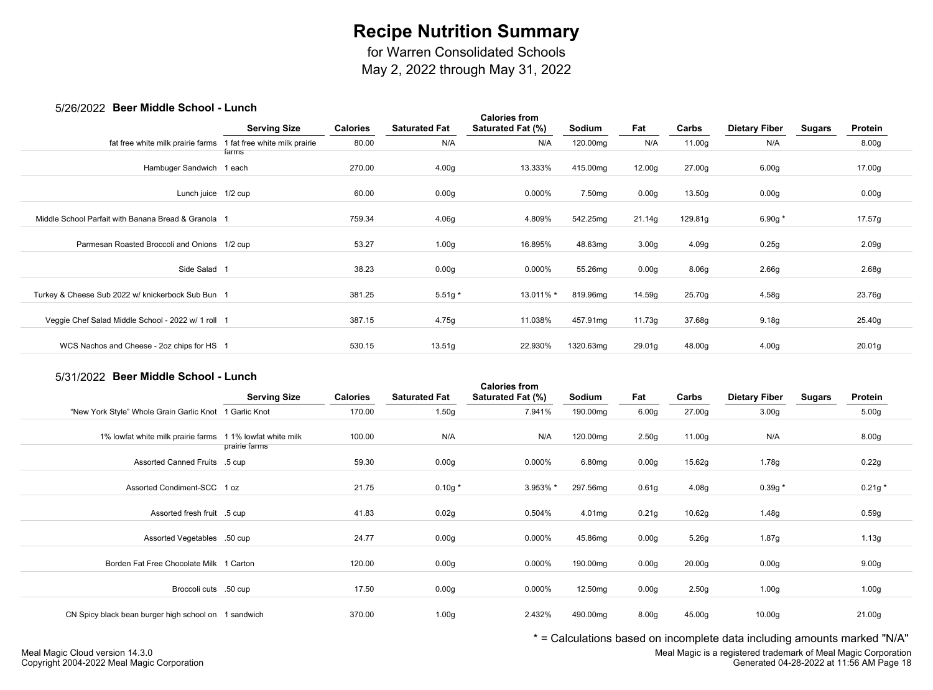for Warren Consolidated Schools

May 2, 2022 through May 31, 2022

### 5/26/2022 **Beer Middle School - Lunch**

| <u>UILUILULE</u> DUUI MIUUIU UUIIUUI – LUIIUII      |                               |                 |                      |                                           |           |                   |         |                      |               |                   |
|-----------------------------------------------------|-------------------------------|-----------------|----------------------|-------------------------------------------|-----------|-------------------|---------|----------------------|---------------|-------------------|
|                                                     | <b>Serving Size</b>           | <b>Calories</b> | <b>Saturated Fat</b> | <b>Calories from</b><br>Saturated Fat (%) | Sodium    | Fat               | Carbs   | <b>Dietary Fiber</b> | <b>Sugars</b> | Protein           |
| fat free white milk prairie farms                   | 1 fat free white milk prairie | 80.00           | N/A                  | N/A                                       | 120.00mg  | N/A               | 11.00g  | N/A                  |               | 8.00 <sub>g</sub> |
|                                                     | farms                         |                 |                      |                                           |           |                   |         |                      |               |                   |
| Hambuger Sandwich 1 each                            |                               | 270.00          | 4.00 <sub>g</sub>    | 13.333%                                   | 415.00mg  | 12.00g            | 27.00g  | 6.00 <sub>g</sub>    |               | 17.00g            |
| Lunch juice 1/2 cup                                 |                               | 60.00           | 0.00 <sub>g</sub>    | 0.000%                                    | 7.50mg    | 0.00 <sub>g</sub> | 13.50g  | 0.00 <sub>g</sub>    |               | 0.00g             |
|                                                     |                               |                 |                      |                                           |           |                   |         |                      |               |                   |
| Middle School Parfait with Banana Bread & Granola 1 |                               | 759.34          | 4.06g                | 4.809%                                    | 542.25mg  | 21.14g            | 129.81g | 6.90g $*$            |               | 17.57g            |
|                                                     |                               |                 |                      |                                           |           |                   |         |                      |               |                   |
|                                                     |                               |                 |                      |                                           |           |                   |         |                      |               |                   |
| Parmesan Roasted Broccoli and Onions 1/2 cup        |                               | 53.27           | 1.00 <sub>g</sub>    | 16.895%                                   | 48.63mg   | 3.00 <sub>g</sub> | 4.09g   | 0.25g                |               | 2.09g             |
|                                                     |                               |                 |                      |                                           |           |                   |         |                      |               |                   |
| Side Salad 1                                        |                               | 38.23           | 0.00 <sub>g</sub>    | 0.000%                                    | 55.26mg   | 0.00 <sub>g</sub> | 8.06g   | 2.66g                |               | 2.68g             |
|                                                     |                               |                 |                      |                                           |           |                   |         |                      |               |                   |
| Turkey & Cheese Sub 2022 w/ knickerbock Sub Bun 1   |                               | 381.25          | $5.51g*$             | 13.011% *                                 | 819.96mg  | 14.59g            | 25.70g  | 4.58g                |               | 23.76g            |
|                                                     |                               |                 |                      |                                           |           |                   |         |                      |               |                   |
| Veggie Chef Salad Middle School - 2022 w/ 1 roll 1  |                               | 387.15          | 4.75g                | 11.038%                                   | 457.91mg  | 11.73g            | 37.68g  | 9.18 <sub>g</sub>    |               | 25.40g            |
|                                                     |                               |                 |                      |                                           |           |                   |         |                      |               |                   |
| WCS Nachos and Cheese - 2oz chips for HS 1          |                               | 530.15          | 13.51g               | 22.930%                                   | 1320.63mg | 29.01g            | 48.00g  | 4.00 <sub>g</sub>    |               | 20.01g            |
|                                                     |                               |                 |                      |                                           |           |                   |         |                      |               |                   |

## 5/31/2022 **Beer Middle School - Lunch**

|                                                           | <b>Serving Size</b> | <b>Calories</b> | <b>Saturated Fat</b> | <b>Calories from</b><br>Saturated Fat (%) | Sodium              | Fat               | Carbs             | <b>Dietary Fiber</b> | <b>Sugars</b> | Protein           |  |
|-----------------------------------------------------------|---------------------|-----------------|----------------------|-------------------------------------------|---------------------|-------------------|-------------------|----------------------|---------------|-------------------|--|
| "New York Style" Whole Grain Garlic Knot 1 Garlic Knot    |                     | 170.00          | 1.50 <sub>g</sub>    | 7.941%                                    | 190.00mg            | 6.00 <sub>g</sub> | 27.00g            | 3.00 <sub>g</sub>    |               | 5.00 <sub>g</sub> |  |
| 1% lowfat white milk prairie farms 1 1% lowfat white milk | prairie farms       | 100.00          | N/A                  | N/A                                       | 120.00mg            | 2.50 <sub>g</sub> | 11.00g            | N/A                  |               | 8.00 <sub>g</sub> |  |
| Assorted Canned Fruits .5 cup                             |                     | 59.30           | 0.00 <sub>g</sub>    | 0.000%                                    | 6.80mg              | 0.00 <sub>g</sub> | 15.62g            | 1.78g                |               | 0.22g             |  |
| Assorted Condiment-SCC 1 oz                               |                     | 21.75           | $0.10g *$            | 3.953% *                                  | 297.56mg            | 0.61 <sub>g</sub> | 4.08 <sub>g</sub> | $0.39g *$            |               | $0.21g *$         |  |
| Assorted fresh fruit .5 cup                               |                     | 41.83           | 0.02g                | 0.504%                                    | 4.01mg              | 0.21g             | 10.62g            | 1.48g                |               | 0.59g             |  |
| Assorted Vegetables .50 cup                               |                     | 24.77           | 0.00 <sub>g</sub>    | 0.000%                                    | 45.86mg             | 0.00 <sub>g</sub> | 5.26g             | 1.87g                |               | 1.13g             |  |
| Borden Fat Free Chocolate Milk 1 Carton                   |                     | 120.00          | 0.00 <sub>g</sub>    | 0.000%                                    | 190.00mg            | 0.00 <sub>g</sub> | 20.00g            | 0.00 <sub>g</sub>    |               | 9.00 <sub>g</sub> |  |
| Broccoli cuts .50 cup                                     |                     | 17.50           | 0.00 <sub>g</sub>    | 0.000%                                    | 12.50 <sub>mg</sub> | 0.00 <sub>g</sub> | 2.50 <sub>g</sub> | 1.00 <sub>g</sub>    |               | 1.00 <sub>g</sub> |  |
| CN Spicy black bean burger high school on 1 sandwich      |                     | 370.00          | 1.00 <sub>g</sub>    | 2.432%                                    | 490.00mg            | 8.00 <sub>g</sub> | 45.00g            | 10.00 <sub>g</sub>   |               | 21.00g            |  |

\* = Calculations based on incomplete data including amounts marked "N/A"